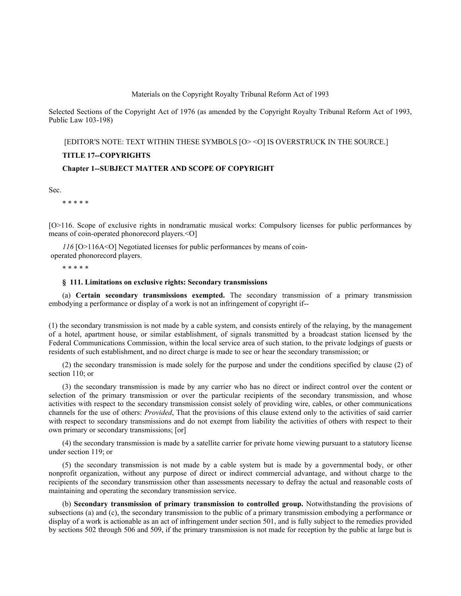#### Materials on the Copyright Royalty Tribunal Reform Act of 1993

Selected Sections of the Copyright Act of 1976 (as amended by the Copyright Royalty Tribunal Reform Act of 1993, Public Law 103-198)

## [EDITOR'S NOTE: TEXT WITHIN THESE SYMBOLS [O> <O] IS OVERSTRUCK IN THE SOURCE.]

### **TITLE 17--COPYRIGHTS**

### **Chapter 1--SUBJECT MATTER AND SCOPE OF COPYRIGHT**

Sec.

\* \* \* \* \*

[O>116. Scope of exclusive rights in nondramatic musical works: Compulsory licenses for public performances by means of coin-operated phonorecord players.<O]

*116* [O>116A<O] Negotiated licenses for public performances by means of coin operated phonorecord players.

\* \* \* \* \*

### **§ 111. Limitations on exclusive rights: Secondary transmissions**

(a) **Certain secondary transmissions exempted.** The secondary transmission of a primary transmission embodying a performance or display of a work is not an infringement of copyright if--

(1) the secondary transmission is not made by a cable system, and consists entirely of the relaying, by the management of a hotel, apartment house, or similar establishment, of signals transmitted by a broadcast station licensed by the Federal Communications Commission, within the local service area of such station, to the private lodgings of guests or residents of such establishment, and no direct charge is made to see or hear the secondary transmission; or

(2) the secondary transmission is made solely for the purpose and under the conditions specified by clause (2) of section 110; or

(3) the secondary transmission is made by any carrier who has no direct or indirect control over the content or selection of the primary transmission or over the particular recipients of the secondary transmission, and whose activities with respect to the secondary transmission consist solely of providing wire, cables, or other communications channels for the use of others: *Provided*, That the provisions of this clause extend only to the activities of said carrier with respect to secondary transmissions and do not exempt from liability the activities of others with respect to their own primary or secondary transmissions; [or]

(4) the secondary transmission is made by a satellite carrier for private home viewing pursuant to a statutory license under section 119; or

(5) the secondary transmission is not made by a cable system but is made by a governmental body, or other nonprofit organization, without any purpose of direct or indirect commercial advantage, and without charge to the recipients of the secondary transmission other than assessments necessary to defray the actual and reasonable costs of maintaining and operating the secondary transmission service.

(b) **Secondary transmission of primary transmission to controlled group.** Notwithstanding the provisions of subsections (a) and (c), the secondary transmission to the public of a primary transmission embodying a performance or display of a work is actionable as an act of infringement under section 501, and is fully subject to the remedies provided by sections 502 through 506 and 509, if the primary transmission is not made for reception by the public at large but is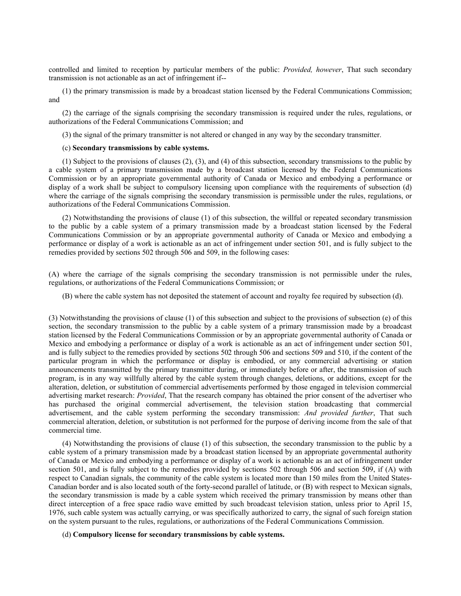controlled and limited to reception by particular members of the public: *Provided, however*, That such secondary transmission is not actionable as an act of infringement if--

(1) the primary transmission is made by a broadcast station licensed by the Federal Communications Commission; and

(2) the carriage of the signals comprising the secondary transmission is required under the rules, regulations, or authorizations of the Federal Communications Commission; and

(3) the signal of the primary transmitter is not altered or changed in any way by the secondary transmitter.

#### (c) **Secondary transmissions by cable systems.**

(1) Subject to the provisions of clauses (2), (3), and (4) of this subsection, secondary transmissions to the public by a cable system of a primary transmission made by a broadcast station licensed by the Federal Communications Commission or by an appropriate governmental authority of Canada or Mexico and embodying a performance or display of a work shall be subject to compulsory licensing upon compliance with the requirements of subsection (d) where the carriage of the signals comprising the secondary transmission is permissible under the rules, regulations, or authorizations of the Federal Communications Commission.

(2) Notwithstanding the provisions of clause (1) of this subsection, the willful or repeated secondary transmission to the public by a cable system of a primary transmission made by a broadcast station licensed by the Federal Communications Commission or by an appropriate governmental authority of Canada or Mexico and embodying a performance or display of a work is actionable as an act of infringement under section 501, and is fully subject to the remedies provided by sections 502 through 506 and 509, in the following cases:

(A) where the carriage of the signals comprising the secondary transmission is not permissible under the rules, regulations, or authorizations of the Federal Communications Commission; or

(B) where the cable system has not deposited the statement of account and royalty fee required by subsection (d).

(3) Notwithstanding the provisions of clause (1) of this subsection and subject to the provisions of subsection (e) of this section, the secondary transmission to the public by a cable system of a primary transmission made by a broadcast station licensed by the Federal Communications Commission or by an appropriate governmental authority of Canada or Mexico and embodying a performance or display of a work is actionable as an act of infringement under section 501, and is fully subject to the remedies provided by sections 502 through 506 and sections 509 and 510, if the content of the particular program in which the performance or display is embodied, or any commercial advertising or station announcements transmitted by the primary transmitter during, or immediately before or after, the transmission of such program, is in any way willfully altered by the cable system through changes, deletions, or additions, except for the alteration, deletion, or substitution of commercial advertisements performed by those engaged in television commercial advertising market research: *Provided*, That the research company has obtained the prior consent of the advertiser who has purchased the original commercial advertisement, the television station broadcasting that commercial advertisement, and the cable system performing the secondary transmission: *And provided further*, That such commercial alteration, deletion, or substitution is not performed for the purpose of deriving income from the sale of that commercial time.

(4) Notwithstanding the provisions of clause (1) of this subsection, the secondary transmission to the public by a cable system of a primary transmission made by a broadcast station licensed by an appropriate governmental authority of Canada or Mexico and embodying a performance or display of a work is actionable as an act of infringement under section 501, and is fully subject to the remedies provided by sections 502 through 506 and section 509, if (A) with respect to Canadian signals, the community of the cable system is located more than 150 miles from the United States-Canadian border and is also located south of the forty-second parallel of latitude, or (B) with respect to Mexican signals, the secondary transmission is made by a cable system which received the primary transmission by means other than direct interception of a free space radio wave emitted by such broadcast television station, unless prior to April 15, 1976, such cable system was actually carrying, or was specifically authorized to carry, the signal of such foreign station on the system pursuant to the rules, regulations, or authorizations of the Federal Communications Commission.

(d) **Compulsory license for secondary transmissions by cable systems.**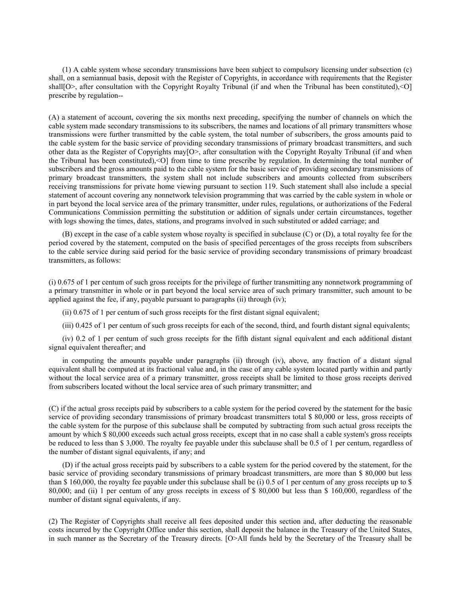(1) A cable system whose secondary transmissions have been subject to compulsory licensing under subsection (c) shall, on a semiannual basis, deposit with the Register of Copyrights, in accordance with requirements that the Register shall[O>, after consultation with the Copyright Royalty Tribunal (if and when the Tribunal has been constituted),<O] prescribe by regulation--

(A) a statement of account, covering the six months next preceding, specifying the number of channels on which the cable system made secondary transmissions to its subscribers, the names and locations of all primary transmitters whose transmissions were further transmitted by the cable system, the total number of subscribers, the gross amounts paid to the cable system for the basic service of providing secondary transmissions of primary broadcast transmitters, and such other data as the Register of Copyrights may[O>, after consultation with the Copyright Royalty Tribunal (if and when the Tribunal has been constituted),<O] from time to time prescribe by regulation. In determining the total number of subscribers and the gross amounts paid to the cable system for the basic service of providing secondary transmissions of primary broadcast transmitters, the system shall not include subscribers and amounts collected from subscribers receiving transmissions for private home viewing pursuant to section 119. Such statement shall also include a special statement of account covering any nonnetwork television programming that was carried by the cable system in whole or in part beyond the local service area of the primary transmitter, under rules, regulations, or authorizations of the Federal Communications Commission permitting the substitution or addition of signals under certain circumstances, together with logs showing the times, dates, stations, and programs involved in such substituted or added carriage; and

(B) except in the case of a cable system whose royalty is specified in subclause (C) or (D), a total royalty fee for the period covered by the statement, computed on the basis of specified percentages of the gross receipts from subscribers to the cable service during said period for the basic service of providing secondary transmissions of primary broadcast transmitters, as follows:

(i) 0.675 of 1 per centum of such gross receipts for the privilege of further transmitting any nonnetwork programming of a primary transmitter in whole or in part beyond the local service area of such primary transmitter, such amount to be applied against the fee, if any, payable pursuant to paragraphs (ii) through (iv);

(ii) 0.675 of 1 per centum of such gross receipts for the first distant signal equivalent;

(iii) 0.425 of 1 per centum of such gross receipts for each of the second, third, and fourth distant signal equivalents;

(iv) 0.2 of 1 per centum of such gross receipts for the fifth distant signal equivalent and each additional distant signal equivalent thereafter; and

in computing the amounts payable under paragraphs (ii) through (iv), above, any fraction of a distant signal equivalent shall be computed at its fractional value and, in the case of any cable system located partly within and partly without the local service area of a primary transmitter, gross receipts shall be limited to those gross receipts derived from subscribers located without the local service area of such primary transmitter; and

(C) if the actual gross receipts paid by subscribers to a cable system for the period covered by the statement for the basic service of providing secondary transmissions of primary broadcast transmitters total \$ 80,000 or less, gross receipts of the cable system for the purpose of this subclause shall be computed by subtracting from such actual gross receipts the amount by which \$ 80,000 exceeds such actual gross receipts, except that in no case shall a cable system's gross receipts be reduced to less than \$ 3,000. The royalty fee payable under this subclause shall be 0.5 of 1 per centum, regardless of the number of distant signal equivalents, if any; and

(D) if the actual gross receipts paid by subscribers to a cable system for the period covered by the statement, for the basic service of providing secondary transmissions of primary broadcast transmitters, are more than \$ 80,000 but less than \$ 160,000, the royalty fee payable under this subclause shall be (i) 0.5 of 1 per centum of any gross receipts up to \$ 80,000; and (ii) 1 per centum of any gross receipts in excess of \$ 80,000 but less than \$ 160,000, regardless of the number of distant signal equivalents, if any.

(2) The Register of Copyrights shall receive all fees deposited under this section and, after deducting the reasonable costs incurred by the Copyright Office under this section, shall deposit the balance in the Treasury of the United States, in such manner as the Secretary of the Treasury directs. [O>All funds held by the Secretary of the Treasury shall be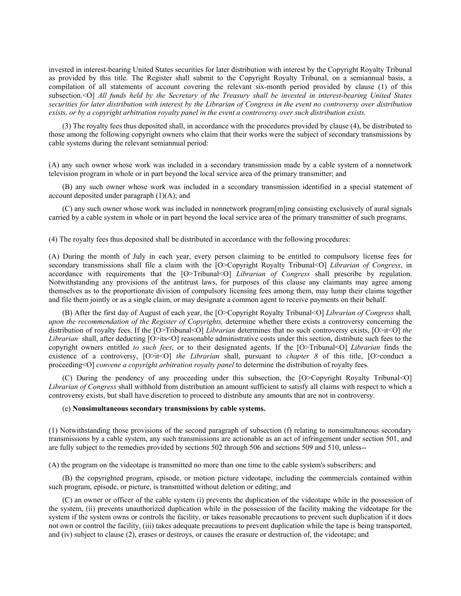invested in interest-bearing United States securities for later distribution with interest by the Copyright Royalty Tribunal as provided by this title. The Register shall submit to the Copyright Royalty Tribunal, on a semiannual basis, a compilation of all statements of account covering the relevant six-month period provided by clause (1) of this subsection.<O] *All funds held by the Secretary of the Treasury shall be invested in interest-bearing United States securities for later distribution with interest by the Librarian of Congress in the event no controversy over distribution exists, or by a copyright arbitration royalty panel in the event a controversy over such distribution exists.*

(3) The royalty fees thus deposited shall, in accordance with the procedures provided by clause (4), be distributed to those among the following copyright owners who claim that their works were the subject of secondary transmissions by cable systems during the relevant semiannual period:

(A) any such owner whose work was included in a secondary transmission made by a cable system of a nonnetwork television program in whole or in part beyond the local service area of the primary transmitter; and

(B) any such owner whose work was included in a secondary transmission identified in a special statement of account deposited under paragraph  $(1)(A)$ ; and

(C) any such owner whose work was included in nonnetwork program[m]ing consisting exclusively of aural signals carried by a cable system in whole or in part beyond the local service area of the primary transmitter of such programs.

(4) The royalty fees thus deposited shall be distributed in accordance with the following procedures:

(A) During the month of July in each year, every person claiming to be entitled to compulsory license fees for secondary transmissions shall file a claim with the [O>Copyright Royalty Tribunal<O] *Librarian of Congress*, in accordance with requirements that the [O>Tribunal<O] *Librarian of Congress* shall prescribe by regulation. Notwithstanding any provisions of the antitrust laws, for purposes of this clause any claimants may agree among themselves as to the proportionate division of compulsory licensing fees among them, may lump their claims together and file them jointly or as a single claim, or may designate a common agent to receive payments on their behalf.

(B) After the first day of August of each year, the [O>Copyright Royalty Tribunal<O] *Librarian of Congress* shall*, upon the recommendation of the Register of Copyrights,* determine whether there exists a controversy concerning the distribution of royalty fees. If the [O>Tribunal<O] *Librarian* determines that no such controversy exists, [O>it<O] *the Librarian* shall, after deducting [O>its<O] reasonable administrative costs under this section, distribute such fees to the copyright owners entitled *to such fees*, or to their designated agents. If the [O>Tribunal<O] *Librarian* finds the existence of a controversy, [O>it<O] *the Librarian* shall, pursuant to *chapter 8* of this title, [O>conduct a proceeding<O] *convene a copyright arbitration royalty panel* to determine the distribution of royalty fees.

(C) During the pendency of any proceeding under this subsection, the [O>Copyright Royalty Tribunal<O] *Librarian of Congress* shall withhold from distribution an amount sufficient to satisfy all claims with respect to which a controversy exists, but shall have discretion to proceed to distribute any amounts that are not in controversy.

#### (e) **Nonsimultaneous secondary transmissions by cable systems.**

(1) Notwithstanding those provisions of the second paragraph of subsection (f) relating to nonsimultaneous secondary transmissions by a cable system, any such transmissions are actionable as an act of infringement under section 501, and are fully subject to the remedies provided by sections 502 through 506 and sections 509 and 510, unless--

(A) the program on the videotape is transmitted no more than one time to the cable system's subscribers; and

(B) the copyrighted program, episode, or motion picture videotape, including the commercials contained within such program, episode, or picture, is transmitted without deletion or editing; and

(C) an owner or officer of the cable system (i) prevents the duplication of the videotape while in the possession of the system, (ii) prevents unauthorized duplication while in the possession of the facility making the videotape for the system if the system owns or controls the facility, or takes reasonable precautions to prevent such duplication if it does not own or control the facility, (iii) takes adequate precautions to prevent duplication while the tape is being transported, and (iv) subject to clause (2), erases or destroys, or causes the erasure or destruction of, the videotape; and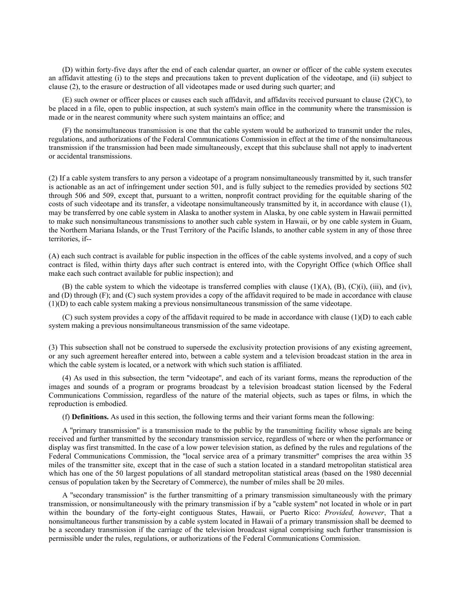(D) within forty-five days after the end of each calendar quarter, an owner or officer of the cable system executes an affidavit attesting (i) to the steps and precautions taken to prevent duplication of the videotape, and (ii) subject to clause (2), to the erasure or destruction of all videotapes made or used during such quarter; and

(E) such owner or officer places or causes each such affidavit, and affidavits received pursuant to clause (2)(C), to be placed in a file, open to public inspection, at such system's main office in the community where the transmission is made or in the nearest community where such system maintains an office; and

(F) the nonsimultaneous transmission is one that the cable system would be authorized to transmit under the rules, regulations, and authorizations of the Federal Communications Commission in effect at the time of the nonsimultaneous transmission if the transmission had been made simultaneously, except that this subclause shall not apply to inadvertent or accidental transmissions.

(2) If a cable system transfers to any person a videotape of a program nonsimultaneously transmitted by it, such transfer is actionable as an act of infringement under section 501, and is fully subject to the remedies provided by sections 502 through 506 and 509, except that, pursuant to a written, nonprofit contract providing for the equitable sharing of the costs of such videotape and its transfer, a videotape nonsimultaneously transmitted by it, in accordance with clause (1), may be transferred by one cable system in Alaska to another system in Alaska, by one cable system in Hawaii permitted to make such nonsimultaneous transmissions to another such cable system in Hawaii, or by one cable system in Guam, the Northern Mariana Islands, or the Trust Territory of the Pacific Islands, to another cable system in any of those three territories, if--

(A) each such contract is available for public inspection in the offices of the cable systems involved, and a copy of such contract is filed, within thirty days after such contract is entered into, with the Copyright Office (which Office shall make each such contract available for public inspection); and

(B) the cable system to which the videotape is transferred complies with clause  $(1)(A)$ ,  $(B)$ ,  $(C)(i)$ ,  $(iii)$ , and  $(iv)$ , and (D) through (F); and (C) such system provides a copy of the affidavit required to be made in accordance with clause (1)(D) to each cable system making a previous nonsimultaneous transmission of the same videotape.

(C) such system provides a copy of the affidavit required to be made in accordance with clause (1)(D) to each cable system making a previous nonsimultaneous transmission of the same videotape.

(3) This subsection shall not be construed to supersede the exclusivity protection provisions of any existing agreement, or any such agreement hereafter entered into, between a cable system and a television broadcast station in the area in which the cable system is located, or a network with which such station is affiliated.

(4) As used in this subsection, the term ''videotape'', and each of its variant forms, means the reproduction of the images and sounds of a program or programs broadcast by a television broadcast station licensed by the Federal Communications Commission, regardless of the nature of the material objects, such as tapes or films, in which the reproduction is embodied.

(f) **Definitions.** As used in this section, the following terms and their variant forms mean the following:

A ''primary transmission'' is a transmission made to the public by the transmitting facility whose signals are being received and further transmitted by the secondary transmission service, regardless of where or when the performance or display was first transmitted. In the case of a low power television station, as defined by the rules and regulations of the Federal Communications Commission, the ''local service area of a primary transmitter'' comprises the area within 35 miles of the transmitter site, except that in the case of such a station located in a standard metropolitan statistical area which has one of the 50 largest populations of all standard metropolitan statistical areas (based on the 1980 decennial census of population taken by the Secretary of Commerce), the number of miles shall be 20 miles.

A ''secondary transmission'' is the further transmitting of a primary transmission simultaneously with the primary transmission, or nonsimultaneously with the primary transmission if by a ''cable system'' not located in whole or in part within the boundary of the forty-eight contiguous States, Hawaii, or Puerto Rico: *Provided, however*, That a nonsimultaneous further transmission by a cable system located in Hawaii of a primary transmission shall be deemed to be a secondary transmission if the carriage of the television broadcast signal comprising such further transmission is permissible under the rules, regulations, or authorizations of the Federal Communications Commission.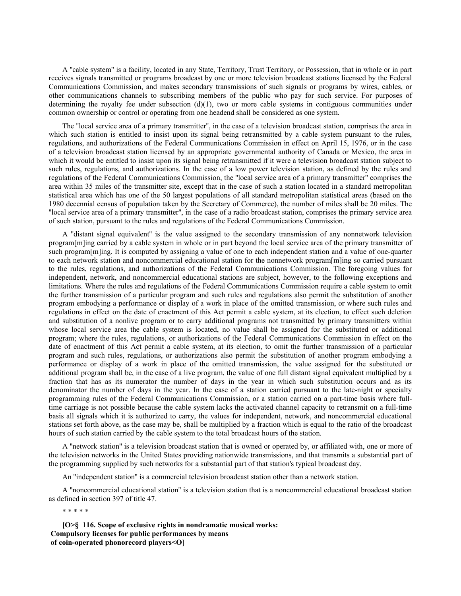A ''cable system'' is a facility, located in any State, Territory, Trust Territory, or Possession, that in whole or in part receives signals transmitted or programs broadcast by one or more television broadcast stations licensed by the Federal Communications Commission, and makes secondary transmissions of such signals or programs by wires, cables, or other communications channels to subscribing members of the public who pay for such service. For purposes of determining the royalty fee under subsection  $(d)(1)$ , two or more cable systems in contiguous communities under common ownership or control or operating from one headend shall be considered as one system.

The ''local service area of a primary transmitter'', in the case of a television broadcast station, comprises the area in which such station is entitled to insist upon its signal being retransmitted by a cable system pursuant to the rules, regulations, and authorizations of the Federal Communications Commission in effect on April 15, 1976, or in the case of a television broadcast station licensed by an appropriate governmental authority of Canada or Mexico, the area in which it would be entitled to insist upon its signal being retransmitted if it were a television broadcast station subject to such rules, regulations, and authorizations. In the case of a low power television station, as defined by the rules and regulations of the Federal Communications Commission, the ''local service area of a primary transmitter'' comprises the area within 35 miles of the transmitter site, except that in the case of such a station located in a standard metropolitan statistical area which has one of the 50 largest populations of all standard metropolitan statistical areas (based on the 1980 decennial census of population taken by the Secretary of Commerce), the number of miles shall be 20 miles. The ''local service area of a primary transmitter'', in the case of a radio broadcast station, comprises the primary service area of such station, pursuant to the rules and regulations of the Federal Communications Commission.

A ''distant signal equivalent'' is the value assigned to the secondary transmission of any nonnetwork television program[m]ing carried by a cable system in whole or in part beyond the local service area of the primary transmitter of such program[m]ing. It is computed by assigning a value of one to each independent station and a value of one-quarter to each network station and noncommercial educational station for the nonnetwork program[m]ing so carried pursuant to the rules, regulations, and authorizations of the Federal Communications Commission. The foregoing values for independent, network, and noncommercial educational stations are subject, however, to the following exceptions and limitations. Where the rules and regulations of the Federal Communications Commission require a cable system to omit the further transmission of a particular program and such rules and regulations also permit the substitution of another program embodying a performance or display of a work in place of the omitted transmission, or where such rules and regulations in effect on the date of enactment of this Act permit a cable system, at its election, to effect such deletion and substitution of a nonlive program or to carry additional programs not transmitted by primary transmitters within whose local service area the cable system is located, no value shall be assigned for the substituted or additional program; where the rules, regulations, or authorizations of the Federal Communications Commission in effect on the date of enactment of this Act permit a cable system, at its election, to omit the further transmission of a particular program and such rules, regulations, or authorizations also permit the substitution of another program embodying a performance or display of a work in place of the omitted transmission, the value assigned for the substituted or additional program shall be, in the case of a live program, the value of one full distant signal equivalent multiplied by a fraction that has as its numerator the number of days in the year in which such substitution occurs and as its denominator the number of days in the year. In the case of a station carried pursuant to the late-night or specialty programming rules of the Federal Communications Commission, or a station carried on a part-time basis where fulltime carriage is not possible because the cable system lacks the activated channel capacity to retransmit on a full-time basis all signals which it is authorized to carry, the values for independent, network, and noncommercial educational stations set forth above, as the case may be, shall be multiplied by a fraction which is equal to the ratio of the broadcast hours of such station carried by the cable system to the total broadcast hours of the station.

A ''network station'' is a television broadcast station that is owned or operated by, or affiliated with, one or more of the television networks in the United States providing nationwide transmissions, and that transmits a substantial part of the programming supplied by such networks for a substantial part of that station's typical broadcast day.

An ''independent station'' is a commercial television broadcast station other than a network station.

A ''noncommercial educational station'' is a television station that is a noncommercial educational broadcast station as defined in section 397 of title 47.

\* \* \* \* \*

**[O>§ 116. Scope of exclusive rights in nondramatic musical works: Compulsory licenses for public performances by means of coin-operated phonorecord players<O]**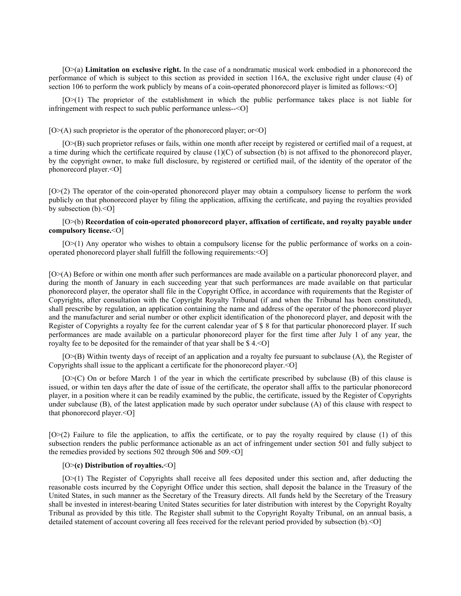[O>(a) **Limitation on exclusive right.** In the case of a nondramatic musical work embodied in a phonorecord the performance of which is subject to this section as provided in section 116A, the exclusive right under clause (4) of section 106 to perform the work publicly by means of a coin-operated phonorecord player is limited as follows:  $\leq$ O]

[O>(1) The proprietor of the establishment in which the public performance takes place is not liable for infringement with respect to such public performance unless--<O]

 $[O \geq (A)$  such proprietor is the operator of the phonorecord player; or  $\leq O$ 

[O>(B) such proprietor refuses or fails, within one month after receipt by registered or certified mail of a request, at a time during which the certificate required by clause  $(1)(C)$  of subsection (b) is not affixed to the phonorecord player, by the copyright owner, to make full disclosure, by registered or certified mail, of the identity of the operator of the phonorecord player.<O]

[O>(2) The operator of the coin-operated phonorecord player may obtain a compulsory license to perform the work publicly on that phonorecord player by filing the application, affixing the certificate, and paying the royalties provided by subsection  $(b)$ .  $\leq O$ ]

# [O>(b) **Recordation of coin-operated phonorecord player, affixation of certificate, and royalty payable under compulsory license.**<O]

[O>(1) Any operator who wishes to obtain a compulsory license for the public performance of works on a coinoperated phonorecord player shall fulfill the following requirements:<O]

[O>(A) Before or within one month after such performances are made available on a particular phonorecord player, and during the month of January in each succeeding year that such performances are made available on that particular phonorecord player, the operator shall file in the Copyright Office, in accordance with requirements that the Register of Copyrights, after consultation with the Copyright Royalty Tribunal (if and when the Tribunal has been constituted), shall prescribe by regulation, an application containing the name and address of the operator of the phonorecord player and the manufacturer and serial number or other explicit identification of the phonorecord player, and deposit with the Register of Copyrights a royalty fee for the current calendar year of \$ 8 for that particular phonorecord player. If such performances are made available on a particular phonorecord player for the first time after July 1 of any year, the royalty fee to be deposited for the remainder of that year shall be  $\frac{1}{8}$  4. < O]

[O>(B) Within twenty days of receipt of an application and a royalty fee pursuant to subclause (A), the Register of Copyrights shall issue to the applicant a certificate for the phonorecord player.<O]

[O>(C) On or before March 1 of the year in which the certificate prescribed by subclause (B) of this clause is issued, or within ten days after the date of issue of the certificate, the operator shall affix to the particular phonorecord player, in a position where it can be readily examined by the public, the certificate, issued by the Register of Copyrights under subclause (B), of the latest application made by such operator under subclause (A) of this clause with respect to that phonorecord player.<O]

[O>(2) Failure to file the application, to affix the certificate, or to pay the royalty required by clause (1) of this subsection renders the public performance actionable as an act of infringement under section 501 and fully subject to the remedies provided by sections 502 through 506 and 509.<0]

# [O>**(c) Distribution of royalties.**<O]

[O>(1) The Register of Copyrights shall receive all fees deposited under this section and, after deducting the reasonable costs incurred by the Copyright Office under this section, shall deposit the balance in the Treasury of the United States, in such manner as the Secretary of the Treasury directs. All funds held by the Secretary of the Treasury shall be invested in interest-bearing United States securities for later distribution with interest by the Copyright Royalty Tribunal as provided by this title. The Register shall submit to the Copyright Royalty Tribunal, on an annual basis, a detailed statement of account covering all fees received for the relevant period provided by subsection (b).<O]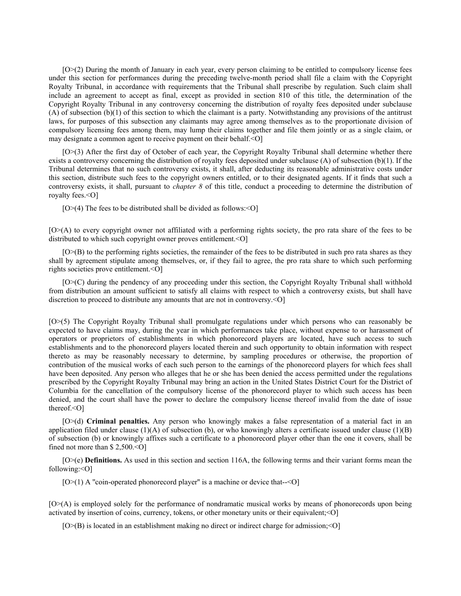[O>(2) During the month of January in each year, every person claiming to be entitled to compulsory license fees under this section for performances during the preceding twelve-month period shall file a claim with the Copyright Royalty Tribunal, in accordance with requirements that the Tribunal shall prescribe by regulation. Such claim shall include an agreement to accept as final, except as provided in section 810 of this title, the determination of the Copyright Royalty Tribunal in any controversy concerning the distribution of royalty fees deposited under subclause (A) of subsection (b)(1) of this section to which the claimant is a party. Notwithstanding any provisions of the antitrust laws, for purposes of this subsection any claimants may agree among themselves as to the proportionate division of compulsory licensing fees among them, may lump their claims together and file them jointly or as a single claim, or may designate a common agent to receive payment on their behalf.<0]

[O>(3) After the first day of October of each year, the Copyright Royalty Tribunal shall determine whether there exists a controversy concerning the distribution of royalty fees deposited under subclause  $(A)$  of subsection  $(b)(1)$ . If the Tribunal determines that no such controversy exists, it shall, after deducting its reasonable administrative costs under this section, distribute such fees to the copyright owners entitled, or to their designated agents. If it finds that such a controversy exists, it shall, pursuant to *chapter 8* of this title, conduct a proceeding to determine the distribution of royalty fees.<O]

 $[O>(4)$  The fees to be distributed shall be divided as follows: < O]

[O>(A) to every copyright owner not affiliated with a performing rights society, the pro rata share of the fees to be distributed to which such copyright owner proves entitlement.<0]

[O>(B) to the performing rights societies, the remainder of the fees to be distributed in such pro rata shares as they shall by agreement stipulate among themselves, or, if they fail to agree, the pro rata share to which such performing rights societies prove entitlement.<O]

[O>(C) during the pendency of any proceeding under this section, the Copyright Royalty Tribunal shall withhold from distribution an amount sufficient to satisfy all claims with respect to which a controversy exists, but shall have discretion to proceed to distribute any amounts that are not in controversy.  $\leq O$ 

[O>(5) The Copyright Royalty Tribunal shall promulgate regulations under which persons who can reasonably be expected to have claims may, during the year in which performances take place, without expense to or harassment of operators or proprietors of establishments in which phonorecord players are located, have such access to such establishments and to the phonorecord players located therein and such opportunity to obtain information with respect thereto as may be reasonably necessary to determine, by sampling procedures or otherwise, the proportion of contribution of the musical works of each such person to the earnings of the phonorecord players for which fees shall have been deposited. Any person who alleges that he or she has been denied the access permitted under the regulations prescribed by the Copyright Royalty Tribunal may bring an action in the United States District Court for the District of Columbia for the cancellation of the compulsory license of the phonorecord player to which such access has been denied, and the court shall have the power to declare the compulsory license thereof invalid from the date of issue thereof.<O]

[O>(d) **Criminal penalties.** Any person who knowingly makes a false representation of a material fact in an application filed under clause  $(1)(A)$  of subsection (b), or who knowingly alters a certificate issued under clause  $(1)(B)$ of subsection (b) or knowingly affixes such a certificate to a phonorecord player other than the one it covers, shall be fined not more than \$2,500. < O]

[O>(e) **Definitions.** As used in this section and section 116A, the following terms and their variant forms mean the following:<O]

 $[O>(1)$  A "coin-operated phonorecord player" is a machine or device that- $<$ O]

[O>(A) is employed solely for the performance of nondramatic musical works by means of phonorecords upon being activated by insertion of coins, currency, tokens, or other monetary units or their equivalent;<O]

[O>(B) is located in an establishment making no direct or indirect charge for admission;<O]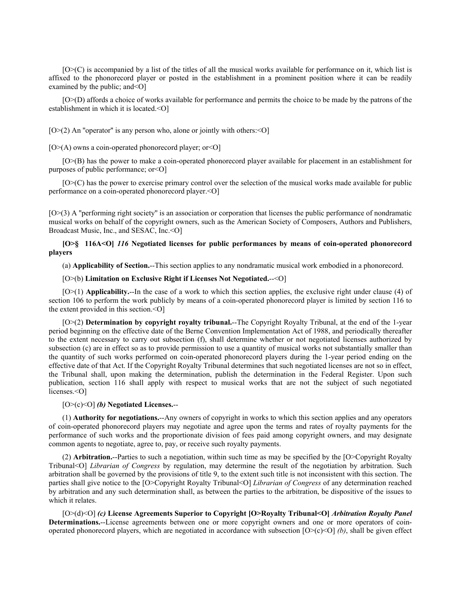[O>(C) is accompanied by a list of the titles of all the musical works available for performance on it, which list is affixed to the phonorecord player or posted in the establishment in a prominent position where it can be readily examined by the public; and < O]

[O>(D) affords a choice of works available for performance and permits the choice to be made by the patrons of the establishment in which it is located.<O]

 $[O>(2)$  An "operator" is any person who, alone or jointly with others: < O

 $[O>(A)$  owns a coin-operated phonorecord player; or  $[O](A)$ 

[O>(B) has the power to make a coin-operated phonorecord player available for placement in an establishment for purposes of public performance; or<O]

[O>(C) has the power to exercise primary control over the selection of the musical works made available for public performance on a coin-operated phonorecord player.<O]

[O>(3) A ''performing right society'' is an association or corporation that licenses the public performance of nondramatic musical works on behalf of the copyright owners, such as the American Society of Composers, Authors and Publishers, Broadcast Music, Inc., and SESAC, Inc.<O]

# **[O>§ 116A<O]** *116* **Negotiated licenses for public performances by means of coin-operated phonorecord players**

(a) **Applicability of Section.**--This section applies to any nondramatic musical work embodied in a phonorecord.

#### [O>(b) **Limitation on Exclusive Right if Licenses Not Negotiated.**--<O]

[O>(1) **Applicability.**--In the case of a work to which this section applies, the exclusive right under clause (4) of section 106 to perform the work publicly by means of a coin-operated phonorecord player is limited by section 116 to the extent provided in this section.<O]

[O>(2) **Determination by copyright royalty tribunal.**--The Copyright Royalty Tribunal, at the end of the 1-year period beginning on the effective date of the Berne Convention Implementation Act of 1988, and periodically thereafter to the extent necessary to carry out subsection (f), shall determine whether or not negotiated licenses authorized by subsection (c) are in effect so as to provide permission to use a quantity of musical works not substantially smaller than the quantity of such works performed on coin-operated phonorecord players during the 1-year period ending on the effective date of that Act. If the Copyright Royalty Tribunal determines that such negotiated licenses are not so in effect, the Tribunal shall, upon making the determination, publish the determination in the Federal Register. Upon such publication, section 116 shall apply with respect to musical works that are not the subject of such negotiated licenses.<O]

### [O>(c)<O] *(b)* **Negotiated Licenses.**--

(1) **Authority for negotiations.**--Any owners of copyright in works to which this section applies and any operators of coin-operated phonorecord players may negotiate and agree upon the terms and rates of royalty payments for the performance of such works and the proportionate division of fees paid among copyright owners, and may designate common agents to negotiate, agree to, pay, or receive such royalty payments.

(2) **Arbitration.**--Parties to such a negotiation, within such time as may be specified by the [O>Copyright Royalty Tribunal<O] *Librarian of Congress* by regulation, may determine the result of the negotiation by arbitration. Such arbitration shall be governed by the provisions of title 9, to the extent such title is not inconsistent with this section. The parties shall give notice to the [O>Copyright Royalty Tribunal<O] *Librarian of Congress* of any determination reached by arbitration and any such determination shall, as between the parties to the arbitration, be dispositive of the issues to which it relates.

[O>(d)<O] *(c)* **License Agreements Superior to Copyright [O>Royalty Tribunal<O]** *Arbitration Royalty Panel* **Determinations.**--License agreements between one or more copyright owners and one or more operators of coinoperated phonorecord players, which are negotiated in accordance with subsection  $[O>(c) < 0]$  *(b)*, shall be given effect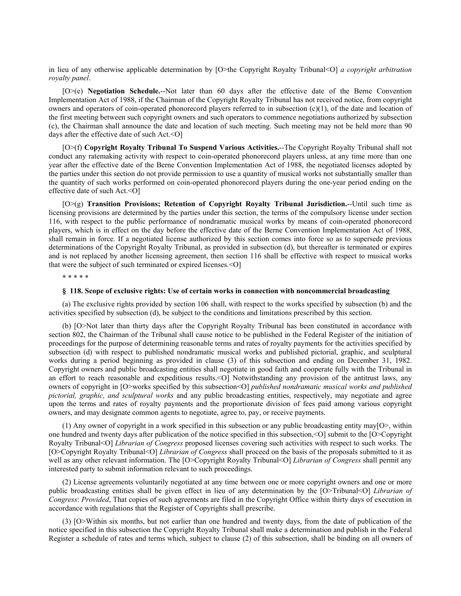in lieu of any otherwise applicable determination by [O>the Copyright Royalty Tribunal<O] *a copyright arbitration royalty panel*.

[O>(e) **Negotiation Schedule.**--Not later than 60 days after the effective date of the Berne Convention Implementation Act of 1988, if the Chairman of the Copyright Royalty Tribunal has not received notice, from copyright owners and operators of coin-operated phonorecord players referred to in subsection  $(c)(1)$ , of the date and location of the first meeting between such copyright owners and such operators to commence negotiations authorized by subsection (c), the Chairman shall announce the date and location of such meeting. Such meeting may not be held more than 90 days after the effective date of such Act.<O]

[O>(f) **Copyright Royalty Tribunal To Suspend Various Activities.**--The Copyright Royalty Tribunal shall not conduct any ratemaking activity with respect to coin-operated phonorecord players unless, at any time more than one year after the effective date of the Berne Convention Implementation Act of 1988, the negotiated licenses adopted by the parties under this section do not provide permission to use a quantity of musical works not substantially smaller than the quantity of such works performed on coin-operated phonorecord players during the one-year period ending on the effective date of such Act.<O]

[O>(g) **Transition Provisions; Retention of Copyright Royalty Tribunal Jurisdiction.**--Until such time as licensing provisions are determined by the parties under this section, the terms of the compulsory license under section 116, with respect to the public performance of nondramatic musical works by means of coin-operated phonorecord players, which is in effect on the day before the effective date of the Berne Convention Implementation Act of 1988, shall remain in force. If a negotiated license authorized by this section comes into force so as to supersede previous determinations of the Copyright Royalty Tribunal, as provided in subsection (d), but thereafter is terminated or expires and is not replaced by another licensing agreement, then section 116 shall be effective with respect to musical works that were the subject of such terminated or expired licenses.<O]

\* \* \* \* \*

#### **§ 118. Scope of exclusive rights: Use of certain works in connection with noncommercial broadcasting**

(a) The exclusive rights provided by section 106 shall, with respect to the works specified by subsection (b) and the activities specified by subsection (d), be subject to the conditions and limitations prescribed by this section.

(b) [O>Not later than thirty days after the Copyright Royalty Tribunal has been constituted in accordance with section 802, the Chairman of the Tribunal shall cause notice to be published in the Federal Register of the initiation of proceedings for the purpose of determining reasonable terms and rates of royalty payments for the activities specified by subsection (d) with respect to published nondramatic musical works and published pictorial, graphic, and sculptural works during a period beginning as provided in clause (3) of this subsection and ending on December 31, 1982. Copyright owners and public broadcasting entities shall negotiate in good faith and cooperate fully with the Tribunal in an effort to reach reasonable and expeditious results.<O] Notwithstanding any provision of the antitrust laws, any owners of copyright in [O>works specified by this subsection<O] *published nondramatic musical works and published pictorial, graphic, and sculptural works* and any public broadcasting entities, respectively, may negotiate and agree upon the terms and rates of royalty payments and the proportionate division of fees paid among various copyright owners, and may designate common agents to negotiate, agree to, pay, or receive payments.

(1) Any owner of copyright in a work specified in this subsection or any public broadcasting entity may[O>, within one hundred and twenty days after publication of the notice specified in this subsection,<O] submit to the [O>Copyright Royalty Tribunal<O] *Librarian of Congress* proposed licenses covering such activities with respect to such works. The [O>Copyright Royalty Tribunal<O] *Librarian of Congress* shall proceed on the basis of the proposals submitted to it as well as any other relevant information. The [O>Copyright Royalty Tribunal<O] *Librarian of Congress* shall permit any interested party to submit information relevant to such proceedings.

(2) License agreements voluntarily negotiated at any time between one or more copyright owners and one or more public broadcasting entities shall be given effect in lieu of any determination by the [O>Tribunal<O] *Librarian of Congress*: *Provided*, That copies of such agreements are filed in the Copyright Office within thirty days of execution in accordance with regulations that the Register of Copyrights shall prescribe.

(3) [O>Within six months, but not earlier than one hundred and twenty days, from the date of publication of the notice specified in this subsection the Copyright Royalty Tribunal shall make a determination and publish in the Federal Register a schedule of rates and terms which, subject to clause (2) of this subsection, shall be binding on all owners of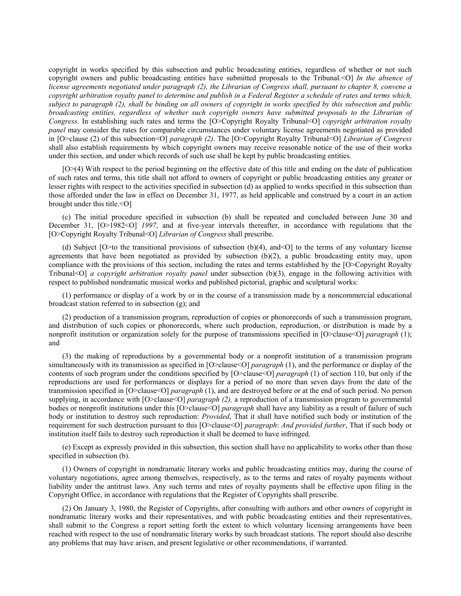copyright in works specified by this subsection and public broadcasting entities, regardless of whether or not such copyright owners and public broadcasting entities have submitted proposals to the Tribunal.<O] *In the absence of license agreements negotiated under paragraph (2), the Librarian of Congress shall, pursuant to chapter 8, convene a copyright arbitration royalty panel to determine and publish in a Federal Register a schedule of rates and terms which, subject to paragraph (2), shall be binding on all owners of copyright in works specified by this subsection and public broadcasting entities, regardless of whether such copyright owners have submitted proposals to the Librarian of Congress.* In establishing such rates and terms the [O>Copyright Royalty Tribunal<O] *copyright arbitration royalty panel* may consider the rates for comparable circumstances under voluntary license agreements negotiated as provided in [O>clause (2) of this subsection<O] *paragraph (2)*. The [O>Copyright Royalty Tribunal<O] *Librarian of Congress* shall also establish requirements by which copyright owners may receive reasonable notice of the use of their works under this section, and under which records of such use shall be kept by public broadcasting entities.

[O>(4) With respect to the period beginning on the effective date of this title and ending on the date of publication of such rates and terms, this title shall not afford to owners of copyright or public broadcasting entities any greater or lesser rights with respect to the activities specified in subsection (d) as applied to works specified in this subsection than those afforded under the law in effect on December 31, 1977, as held applicable and construed by a court in an action brought under this title.<O]

(c) The initial procedure specified in subsection (b) shall be repeated and concluded between June 30 and December 31, [O>1982<O] *1997*, and at five-year intervals thereafter, in accordance with regulations that the [O>Copyright Royalty Tribunal<O] *Librarian of Congress* shall prescribe.

(d) Subject [O>to the transitional provisions of subsection  $(b)(4)$ , and<O] to the terms of any voluntary license agreements that have been negotiated as provided by subsection (b)(2), a public broadcasting entity may, upon compliance with the provisions of this section, including the rates and terms established by the [O>Copyright Royalty Tribunal<O] *a copyright arbitration royalty panel* under subsection (b)(3), engage in the following activities with respect to published nondramatic musical works and published pictorial, graphic and sculptural works:

(1) performance or display of a work by or in the course of a transmission made by a noncommercial educational broadcast station referred to in subsection (g); and

(2) production of a transmission program, reproduction of copies or phonorecords of such a transmission program, and distribution of such copies or phonorecords, where such production, reproduction, or distribution is made by a nonprofit institution or organization solely for the purpose of transmissions specified in [O>clause<O] *paragraph* (1); and

(3) the making of reproductions by a governmental body or a nonprofit institution of a transmission program simultaneously with its transmission as specified in [O>clause<O] *paragraph* (1), and the performance or display of the contents of such program under the conditions specified by [O>clause<O] *paragraph* (1) of section 110, but only if the reproductions are used for performances or displays for a period of no more than seven days from the date of the transmission specified in [O>clause<O] *paragraph* (1), and are destroyed before or at the end of such period. No person supplying, in accordance with [O>clause<O] *paragraph (2)*, a reproduction of a transmission program to governmental bodies or nonprofit institutions under this [O>clause<O] *paragraph* shall have any liability as a result of failure of such body or institution to destroy such reproduction: *Provided*, That it shall have notified such body or institution of the requirement for such destruction pursuant to this [O>clause<O] *paragraph*: *And provided further*, That if such body or institution itself fails to destroy such reproduction it shall be deemed to have infringed.

(e) Except as expressly provided in this subsection, this section shall have no applicability to works other than those specified in subsection (b).

(1) Owners of copyright in nondramatic literary works and public broadcasting entities may, during the course of voluntary negotiations, agree among themselves, respectively, as to the terms and rates of royalty payments without liability under the antitrust laws. Any such terms and rates of royalty payments shall be effective upon filing in the Copyright Office, in accordance with regulations that the Register of Copyrights shall prescribe.

(2) On January 3, 1980, the Register of Copyrights, after consulting with authors and other owners of copyright in nondramatic literary works and their representatives, and with public broadcasting entities and their representatives, shall submit to the Congress a report setting forth the extent to which voluntary licensing arrangements have been reached with respect to the use of nondramatic literary works by such broadcast stations. The report should also describe any problems that may have arisen, and present legislative or other recommendations, if warranted.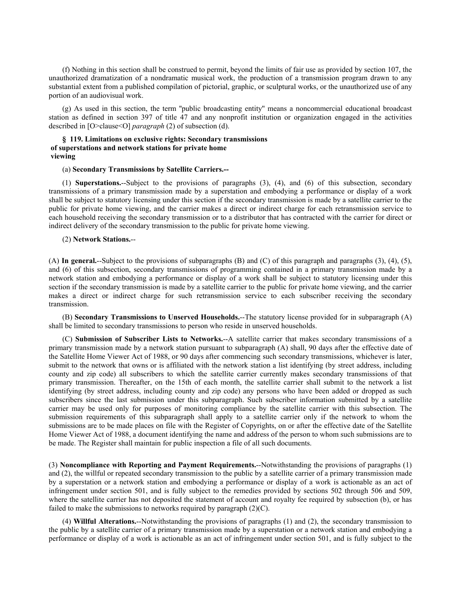(f) Nothing in this section shall be construed to permit, beyond the limits of fair use as provided by section 107, the unauthorized dramatization of a nondramatic musical work, the production of a transmission program drawn to any substantial extent from a published compilation of pictorial, graphic, or sculptural works, or the unauthorized use of any portion of an audiovisual work.

(g) As used in this section, the term ''public broadcasting entity'' means a noncommercial educational broadcast station as defined in section 397 of title 47 and any nonprofit institution or organization engaged in the activities described in [O>clause<O] *paragraph* (2) of subsection (d).

## **§ 119. Limitations on exclusive rights: Secondary transmissions of superstations and network stations for private home viewing**

## (a) **Secondary Transmissions by Satellite Carriers.--**

(1) **Superstations.**--Subject to the provisions of paragraphs (3), (4), and (6) of this subsection, secondary transmissions of a primary transmission made by a superstation and embodying a performance or display of a work shall be subject to statutory licensing under this section if the secondary transmission is made by a satellite carrier to the public for private home viewing, and the carrier makes a direct or indirect charge for each retransmission service to each household receiving the secondary transmission or to a distributor that has contracted with the carrier for direct or indirect delivery of the secondary transmission to the public for private home viewing.

### (2) **Network Stations.**--

(A) **In general.**--Subject to the provisions of subparagraphs (B) and (C) of this paragraph and paragraphs (3), (4), (5), and (6) of this subsection, secondary transmissions of programming contained in a primary transmission made by a network station and embodying a performance or display of a work shall be subject to statutory licensing under this section if the secondary transmission is made by a satellite carrier to the public for private home viewing, and the carrier makes a direct or indirect charge for such retransmission service to each subscriber receiving the secondary transmission.

(B) **Secondary Transmissions to Unserved Households.**--The statutory license provided for in subparagraph (A) shall be limited to secondary transmissions to person who reside in unserved households.

(C) **Submission of Subscriber Lists to Networks.**--A satellite carrier that makes secondary transmissions of a primary transmission made by a network station pursuant to subparagraph (A) shall, 90 days after the effective date of the Satellite Home Viewer Act of 1988, or 90 days after commencing such secondary transmissions, whichever is later, submit to the network that owns or is affiliated with the network station a list identifying (by street address, including county and zip code) all subscribers to which the satellite carrier currently makes secondary transmissions of that primary transmission. Thereafter, on the 15th of each month, the satellite carrier shall submit to the network a list identifying (by street address, including county and zip code) any persons who have been added or dropped as such subscribers since the last submission under this subparagraph. Such subscriber information submitted by a satellite carrier may be used only for purposes of monitoring compliance by the satellite carrier with this subsection. The submission requirements of this subparagraph shall apply to a satellite carrier only if the network to whom the submissions are to be made places on file with the Register of Copyrights, on or after the effective date of the Satellite Home Viewer Act of 1988, a document identifying the name and address of the person to whom such submissions are to be made. The Register shall maintain for public inspection a file of all such documents.

(3) **Noncompliance with Reporting and Payment Requirements.**--Notwithstanding the provisions of paragraphs (1) and (2), the willful or repeated secondary transmission to the public by a satellite carrier of a primary transmission made by a superstation or a network station and embodying a performance or display of a work is actionable as an act of infringement under section 501, and is fully subject to the remedies provided by sections 502 through 506 and 509, where the satellite carrier has not deposited the statement of account and royalty fee required by subsection (b), or has failed to make the submissions to networks required by paragraph  $(2)(C)$ .

(4) **Willful Alterations.**--Notwithstanding the provisions of paragraphs (1) and (2), the secondary transmission to the public by a satellite carrier of a primary transmission made by a superstation or a network station and embodying a performance or display of a work is actionable as an act of infringement under section 501, and is fully subject to the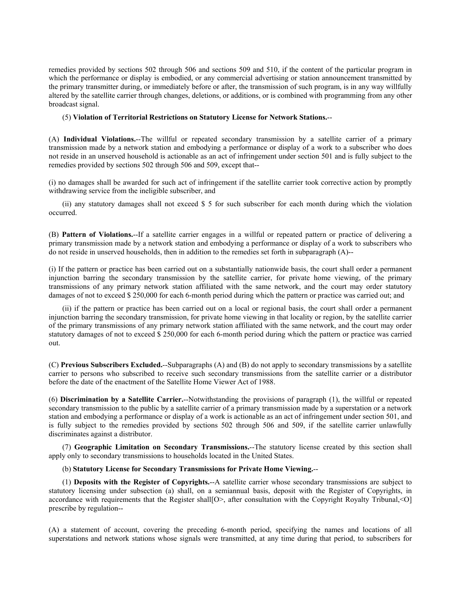remedies provided by sections 502 through 506 and sections 509 and 510, if the content of the particular program in which the performance or display is embodied, or any commercial advertising or station announcement transmitted by the primary transmitter during, or immediately before or after, the transmission of such program, is in any way willfully altered by the satellite carrier through changes, deletions, or additions, or is combined with programming from any other broadcast signal.

### (5) **Violation of Territorial Restrictions on Statutory License for Network Stations.**--

(A) **Individual Violations.**--The willful or repeated secondary transmission by a satellite carrier of a primary transmission made by a network station and embodying a performance or display of a work to a subscriber who does not reside in an unserved household is actionable as an act of infringement under section 501 and is fully subject to the remedies provided by sections 502 through 506 and 509, except that--

(i) no damages shall be awarded for such act of infringement if the satellite carrier took corrective action by promptly withdrawing service from the ineligible subscriber, and

(ii) any statutory damages shall not exceed \$ 5 for such subscriber for each month during which the violation occurred.

(B) **Pattern of Violations.**--If a satellite carrier engages in a willful or repeated pattern or practice of delivering a primary transmission made by a network station and embodying a performance or display of a work to subscribers who do not reside in unserved households, then in addition to the remedies set forth in subparagraph (A)--

(i) If the pattern or practice has been carried out on a substantially nationwide basis, the court shall order a permanent injunction barring the secondary transmission by the satellite carrier, for private home viewing, of the primary transmissions of any primary network station affiliated with the same network, and the court may order statutory damages of not to exceed \$ 250,000 for each 6-month period during which the pattern or practice was carried out; and

(ii) if the pattern or practice has been carried out on a local or regional basis, the court shall order a permanent injunction barring the secondary transmission, for private home viewing in that locality or region, by the satellite carrier of the primary transmissions of any primary network station affiliated with the same network, and the court may order statutory damages of not to exceed \$ 250,000 for each 6-month period during which the pattern or practice was carried out.

(C) **Previous Subscribers Excluded.**--Subparagraphs (A) and (B) do not apply to secondary transmissions by a satellite carrier to persons who subscribed to receive such secondary transmissions from the satellite carrier or a distributor before the date of the enactment of the Satellite Home Viewer Act of 1988.

(6) **Discrimination by a Satellite Carrier.**--Notwithstanding the provisions of paragraph (1), the willful or repeated secondary transmission to the public by a satellite carrier of a primary transmission made by a superstation or a network station and embodying a performance or display of a work is actionable as an act of infringement under section 501, and is fully subject to the remedies provided by sections 502 through 506 and 509, if the satellite carrier unlawfully discriminates against a distributor.

(7) **Geographic Limitation on Secondary Transmissions.**--The statutory license created by this section shall apply only to secondary transmissions to households located in the United States.

## (b) **Statutory License for Secondary Transmissions for Private Home Viewing.**--

(1) **Deposits with the Register of Copyrights.**--A satellite carrier whose secondary transmissions are subject to statutory licensing under subsection (a) shall, on a semiannual basis, deposit with the Register of Copyrights, in accordance with requirements that the Register shall[O>, after consultation with the Copyright Royalty Tribunal, < O] prescribe by regulation--

(A) a statement of account, covering the preceding 6-month period, specifying the names and locations of all superstations and network stations whose signals were transmitted, at any time during that period, to subscribers for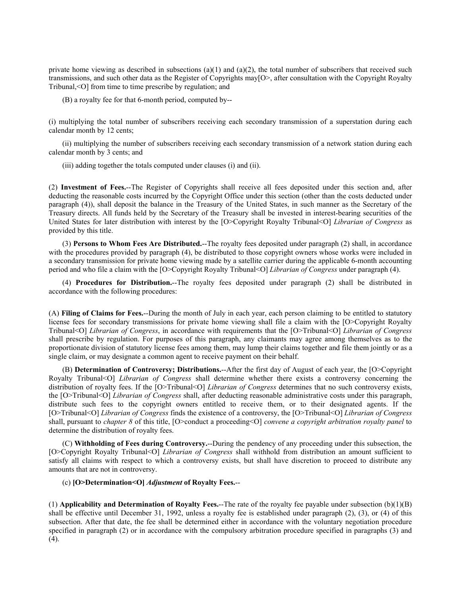private home viewing as described in subsections (a)(1) and (a)(2), the total number of subscribers that received such transmissions, and such other data as the Register of Copyrights may[O>, after consultation with the Copyright Royalty Tribunal,<O] from time to time prescribe by regulation; and

(B) a royalty fee for that 6-month period, computed by--

(i) multiplying the total number of subscribers receiving each secondary transmission of a superstation during each calendar month by 12 cents;

(ii) multiplying the number of subscribers receiving each secondary transmission of a network station during each calendar month by 3 cents; and

(iii) adding together the totals computed under clauses (i) and (ii).

(2) **Investment of Fees.**--The Register of Copyrights shall receive all fees deposited under this section and, after deducting the reasonable costs incurred by the Copyright Office under this section (other than the costs deducted under paragraph (4)), shall deposit the balance in the Treasury of the United States, in such manner as the Secretary of the Treasury directs. All funds held by the Secretary of the Treasury shall be invested in interest-bearing securities of the United States for later distribution with interest by the [O>Copyright Royalty Tribunal<O] *Librarian of Congress* as provided by this title.

(3) **Persons to Whom Fees Are Distributed.**--The royalty fees deposited under paragraph (2) shall, in accordance with the procedures provided by paragraph (4), be distributed to those copyright owners whose works were included in a secondary transmission for private home viewing made by a satellite carrier during the applicable 6-month accounting period and who file a claim with the [O>Copyright Royalty Tribunal<O] *Librarian of Congress* under paragraph (4).

(4) **Procedures for Distribution.**--The royalty fees deposited under paragraph (2) shall be distributed in accordance with the following procedures:

(A) **Filing of Claims for Fees.**--During the month of July in each year, each person claiming to be entitled to statutory license fees for secondary transmissions for private home viewing shall file a claim with the [O>Copyright Royalty Tribunal<O] *Librarian of Congress*, in accordance with requirements that the [O>Tribunal<O] *Librarian of Congress* shall prescribe by regulation. For purposes of this paragraph, any claimants may agree among themselves as to the proportionate division of statutory license fees among them, may lump their claims together and file them jointly or as a single claim, or may designate a common agent to receive payment on their behalf.

(B) **Determination of Controversy; Distributions.**--After the first day of August of each year, the [O>Copyright Royalty Tribunal<O] *Librarian of Congress* shall determine whether there exists a controversy concerning the distribution of royalty fees. If the [O>Tribunal<O] *Librarian of Congress* determines that no such controversy exists, the [O>Tribunal<O] *Librarian of Congress* shall, after deducting reasonable administrative costs under this paragraph, distribute such fees to the copyright owners entitled to receive them, or to their designated agents. If the [O>Tribunal<O] *Librarian of Congress* finds the existence of a controversy, the [O>Tribunal<O] *Librarian of Congress* shall, pursuant to *chapter 8* of this title, [O>conduct a proceeding<O] *convene a copyright arbitration royalty panel* to determine the distribution of royalty fees.

(C) **Withholding of Fees during Controversy.**--During the pendency of any proceeding under this subsection, the [O>Copyright Royalty Tribunal<O] *Librarian of Congress* shall withhold from distribution an amount sufficient to satisfy all claims with respect to which a controversy exists, but shall have discretion to proceed to distribute any amounts that are not in controversy.

## (c) **[O>Determination<O]** *Adjustment* **of Royalty Fees.**--

(1) **Applicability and Determination of Royalty Fees.**--The rate of the royalty fee payable under subsection (b)(1)(B) shall be effective until December 31, 1992, unless a royalty fee is established under paragraph (2), (3), or (4) of this subsection. After that date, the fee shall be determined either in accordance with the voluntary negotiation procedure specified in paragraph (2) or in accordance with the compulsory arbitration procedure specified in paragraphs (3) and (4).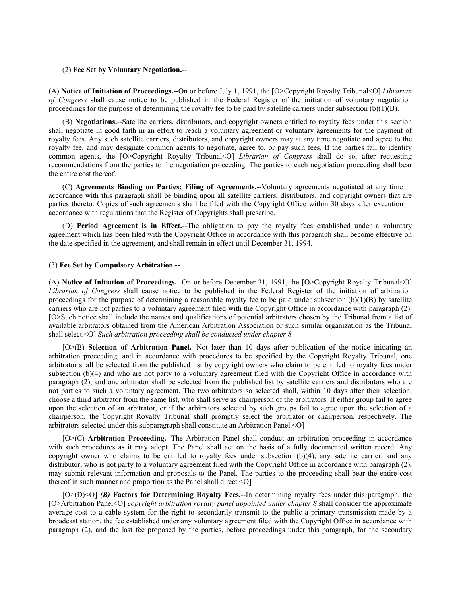#### (2) **Fee Set by Voluntary Negotiation.**--

(A) **Notice of Initiation of Proceedings.**--On or before July 1, 1991, the [O>Copyright Royalty Tribunal<O] *Librarian of Congress* shall cause notice to be published in the Federal Register of the initiation of voluntary negotiation proceedings for the purpose of determining the royalty fee to be paid by satellite carriers under subsection  $(b)(1)(B)$ .

(B) **Negotiations.**--Satellite carriers, distributors, and copyright owners entitled to royalty fees under this section shall negotiate in good faith in an effort to reach a voluntary agreement or voluntary agreements for the payment of royalty fees. Any such satellite carriers, distributors, and copyright owners may at any time negotiate and agree to the royalty fee, and may designate common agents to negotiate, agree to, or pay such fees. If the parties fail to identify common agents, the [O>Copyright Royalty Tribunal<O] *Librarian of Congress* shall do so, after requesting recommendations from the parties to the negotiation proceeding. The parties to each negotiation proceeding shall bear the entire cost thereof.

(C) **Agreements Binding on Parties; Filing of Agreements.**--Voluntary agreements negotiated at any time in accordance with this paragraph shall be binding upon all satellite carriers, distributors, and copyright owners that are parties thereto. Copies of such agreements shall be filed with the Copyright Office within 30 days after execution in accordance with regulations that the Register of Copyrights shall prescribe.

(D) **Period Agreement is in Effect.**--The obligation to pay the royalty fees established under a voluntary agreement which has been filed with the Copyright Office in accordance with this paragraph shall become effective on the date specified in the agreement, and shall remain in effect until December 31, 1994.

# (3) **Fee Set by Compulsory Arbitration.**--

(A) **Notice of Initiation of Proceedings.**--On or before December 31, 1991, the [O>Copyright Royalty Tribunal<O] *Librarian of Congress* shall cause notice to be published in the Federal Register of the initiation of arbitration proceedings for the purpose of determining a reasonable royalty fee to be paid under subsection  $(b)(1)(B)$  by satellite carriers who are not parties to a voluntary agreement filed with the Copyright Office in accordance with paragraph (2). [O>Such notice shall include the names and qualifications of potential arbitrators chosen by the Tribunal from a list of available arbitrators obtained from the American Arbitration Association or such similar organization as the Tribunal shall select.<O] *Such arbitration proceeding shall be conducted under chapter 8.*

[O>(B) **Selection of Arbitration Panel.**--Not later than 10 days after publication of the notice initiating an arbitration proceeding, and in accordance with procedures to be specified by the Copyright Royalty Tribunal, one arbitrator shall be selected from the published list by copyright owners who claim to be entitled to royalty fees under subsection (b)(4) and who are not party to a voluntary agreement filed with the Copyright Office in accordance with paragraph (2), and one arbitrator shall be selected from the published list by satellite carriers and distributors who are not parties to such a voluntary agreement. The two arbitrators so selected shall, within 10 days after their selection, choose a third arbitrator from the same list, who shall serve as chairperson of the arbitrators. If either group fail to agree upon the selection of an arbitrator, or if the arbitrators selected by such groups fail to agree upon the selection of a chairperson, the Copyright Royalty Tribunal shall promptly select the arbitrator or chairperson, respectively. The arbitrators selected under this subparagraph shall constitute an Arbitration Panel.<O]

[O>(C) **Arbitration Proceeding.**--The Arbitration Panel shall conduct an arbitration proceeding in accordance with such procedures as it may adopt. The Panel shall act on the basis of a fully documented written record. Any copyright owner who claims to be entitled to royalty fees under subsection (b)(4), any satellite carrier, and any distributor, who is not party to a voluntary agreement filed with the Copyright Office in accordance with paragraph (2), may submit relevant information and proposals to the Panel. The parties to the proceeding shall bear the entire cost thereof in such manner and proportion as the Panel shall direct. < O]

[O>(D)<O] *(B)* **Factors for Determining Royalty Fees.**--In determining royalty fees under this paragraph, the [O>Arbitration Panel<O] *copyright arbitration royalty panel appointed under chapter 8* shall consider the approximate average cost to a cable system for the right to secondarily transmit to the public a primary transmission made by a broadcast station, the fee established under any voluntary agreement filed with the Copyright Office in accordance with paragraph (2), and the last fee proposed by the parties, before proceedings under this paragraph, for the secondary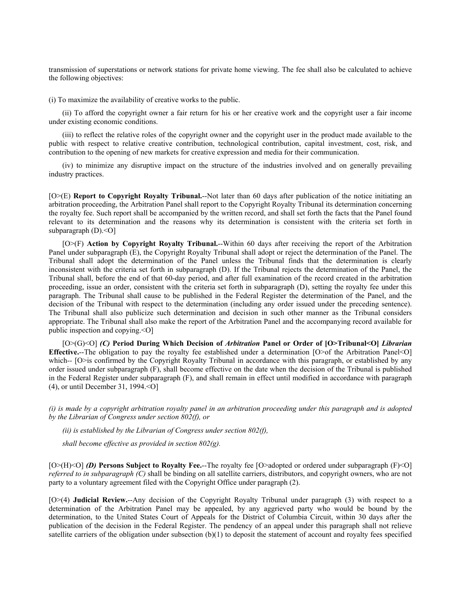transmission of superstations or network stations for private home viewing. The fee shall also be calculated to achieve the following objectives:

(i) To maximize the availability of creative works to the public.

(ii) To afford the copyright owner a fair return for his or her creative work and the copyright user a fair income under existing economic conditions.

(iii) to reflect the relative roles of the copyright owner and the copyright user in the product made available to the public with respect to relative creative contribution, technological contribution, capital investment, cost, risk, and contribution to the opening of new markets for creative expression and media for their communication.

(iv) to minimize any disruptive impact on the structure of the industries involved and on generally prevailing industry practices.

[O>(E) **Report to Copyright Royalty Tribunal.**--Not later than 60 days after publication of the notice initiating an arbitration proceeding, the Arbitration Panel shall report to the Copyright Royalty Tribunal its determination concerning the royalty fee. Such report shall be accompanied by the written record, and shall set forth the facts that the Panel found relevant to its determination and the reasons why its determination is consistent with the criteria set forth in subparagraph  $(D)$ .< $O$ ]

[O>(F) **Action by Copyright Royalty Tribunal.**--Within 60 days after receiving the report of the Arbitration Panel under subparagraph (E), the Copyright Royalty Tribunal shall adopt or reject the determination of the Panel. The Tribunal shall adopt the determination of the Panel unless the Tribunal finds that the determination is clearly inconsistent with the criteria set forth in subparagraph (D). If the Tribunal rejects the determination of the Panel, the Tribunal shall, before the end of that 60-day period, and after full examination of the record created in the arbitration proceeding, issue an order, consistent with the criteria set forth in subparagraph (D), setting the royalty fee under this paragraph. The Tribunal shall cause to be published in the Federal Register the determination of the Panel, and the decision of the Tribunal with respect to the determination (including any order issued under the preceding sentence). The Tribunal shall also publicize such determination and decision in such other manner as the Tribunal considers appropriate. The Tribunal shall also make the report of the Arbitration Panel and the accompanying record available for public inspection and copying.<O]

[O>(G)<O] *(C)* **Period During Which Decision of** *Arbitration* **Panel or Order of [O>Tribunal<O]** *Librarian* **Effective.**--The obligation to pay the royalty fee established under a determination [O>of the Arbitration Panel<O] which--<sup></sup> [O>is confirmed by the Copyright Royalty Tribunal in accordance with this paragraph, or established by any order issued under subparagraph (F), shall become effective on the date when the decision of the Tribunal is published in the Federal Register under subparagraph (F), and shall remain in effect until modified in accordance with paragraph (4), or until December 31, 1994.<O]

*(i) is made by a copyright arbitration royalty panel in an arbitration proceeding under this paragraph and is adopted by the Librarian of Congress under section 802(f), or*

*(ii) is established by the Librarian of Congress under section 802(f),*

*shall become effective as provided in section 802(g).*

[O>(H)<O] *(D)* **Persons Subject to Royalty Fee.**--The royalty fee [O>adopted or ordered under subparagraph (F)<O] *referred to in subparagraph (C)* shall be binding on all satellite carriers, distributors, and copyright owners, who are not party to a voluntary agreement filed with the Copyright Office under paragraph (2).

[O>(4) **Judicial Review.**--Any decision of the Copyright Royalty Tribunal under paragraph (3) with respect to a determination of the Arbitration Panel may be appealed, by any aggrieved party who would be bound by the determination, to the United States Court of Appeals for the District of Columbia Circuit, within 30 days after the publication of the decision in the Federal Register. The pendency of an appeal under this paragraph shall not relieve satellite carriers of the obligation under subsection (b)(1) to deposit the statement of account and royalty fees specified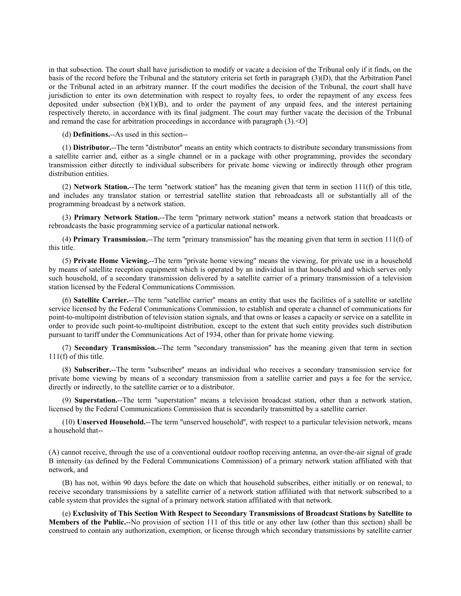in that subsection. The court shall have jurisdiction to modify or vacate a decision of the Tribunal only if it finds, on the basis of the record before the Tribunal and the statutory criteria set forth in paragraph (3)(D), that the Arbitration Panel or the Tribunal acted in an arbitrary manner. If the court modifies the decision of the Tribunal, the court shall have jurisdiction to enter its own determination with respect to royalty fees, to order the repayment of any excess fees deposited under subsection  $(b)(1)(B)$ , and to order the payment of any unpaid fees, and the interest pertaining respectively thereto, in accordance with its final judgment. The court may further vacate the decision of the Tribunal and remand the case for arbitration proceedings in accordance with paragraph (3).<O]

(d) **Definitions.**--As used in this section--

(1) **Distributor.**--The term ''distributor'' means an entity which contracts to distribute secondary transmissions from a satellite carrier and, either as a single channel or in a package with other programming, provides the secondary transmission either directly to individual subscribers for private home viewing or indirectly through other program distribution entities.

(2) **Network Station.**--The term ''network station'' has the meaning given that term in section 111(f) of this title, and includes any translator station or terrestrial satellite station that rebroadcasts all or substantially all of the programming broadcast by a network station.

(3) **Primary Network Station.**--The term ''primary network station'' means a network station that broadcasts or rebroadcasts the basic programming service of a particular national network.

(4) **Primary Transmission.**--The term ''primary transmission'' has the meaning given that term in section 111(f) of this title.

(5) **Private Home Viewing.**--The term ''private home viewing'' means the viewing, for private use in a household by means of satellite reception equipment which is operated by an individual in that household and which serves only such household, of a secondary transmission delivered by a satellite carrier of a primary transmission of a television station licensed by the Federal Communications Commission.

(6) **Satellite Carrier.**--The term ''satellite carrier'' means an entity that uses the facilities of a satellite or satellite service licensed by the Federal Communications Commission, to establish and operate a channel of communications for point-to-multipoint distribution of television station signals, and that owns or leases a capacity or service on a satellite in order to provide such point-to-multipoint distribution, except to the extent that such entity provides such distribution pursuant to tariff under the Communications Act of 1934, other than for private home viewing.

(7) **Secondary Transmission.**--The term ''secondary transmission'' has the meaning given that term in section 111(f) of this title.

(8) **Subscriber.**--The term ''subscriber'' means an individual who receives a secondary transmission service for private home viewing by means of a secondary transmission from a satellite carrier and pays a fee for the service, directly or indirectly, to the satellite carrier or to a distributor.

(9) **Superstation.**--The term ''superstation'' means a television broadcast station, other than a network station, licensed by the Federal Communications Commission that is secondarily transmitted by a satellite carrier.

(10) **Unserved Household.**--The term ''unserved household'', with respect to a particular television network, means a household that--

(A) cannot receive, through the use of a conventional outdoor rooftop receiving antenna, an over-the-air signal of grade B intensity (as defined by the Federal Communications Commission) of a primary network station affiliated with that network, and

(B) has not, within 90 days before the date on which that household subscribes, either initially or on renewal, to receive secondary transmissions by a satellite carrier of a network station affiliated with that network subscribed to a cable system that provides the signal of a primary network station affiliated with that network.

(e) **Exclusivity of This Section With Respect to Secondary Transmissions of Broadcast Stations by Satellite to Members of the Public.**--No provision of section 111 of this title or any other law (other than this section) shall be construed to contain any authorization, exemption, or license through which secondary transmissions by satellite carrier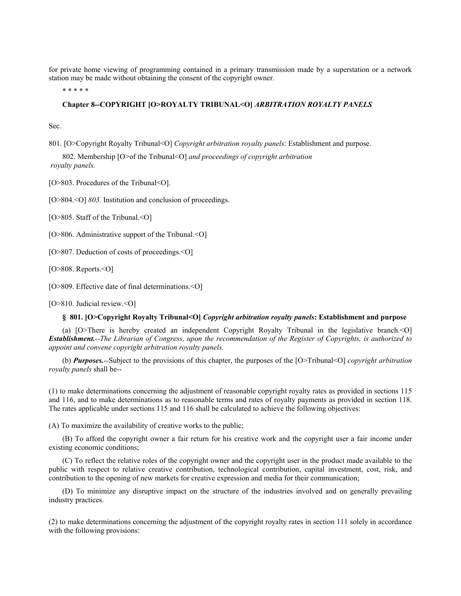for private home viewing of programming contained in a primary transmission made by a superstation or a network station may be made without obtaining the consent of the copyright owner.

\* \* \* \* \*

## **Chapter 8--COPYRIGHT [O>ROYALTY TRIBUNAL<O]** *ARBITRATION ROYALTY PANELS*

Sec.

801. [O>Copyright Royalty Tribunal<O] *Copyright arbitration royalty panels*: Establishment and purpose.

802. Membership [O>of the Tribunal<O] *and proceedings of copyright arbitration royalty panels.*

[O>803. Procedures of the Tribunal<O].

[O>804.<0] *803*. Institution and conclusion of proceedings.

[O>805. Staff of the Tribunal.<0]

[O>806. Administrative support of the Tribunal.<O]

[O>807. Deduction of costs of proceedings.<0]

[O>808. Reports.<0]

[O>809. Effective date of final determinations.<O]

[O>810. Judicial review.<O]

#### **§ 801. [O>Copyright Royalty Tribunal<O]** *Copyright arbitration royalty panels***: Establishment and purpose**

(a) [O>There is hereby created an independent Copyright Royalty Tribunal in the legislative branch.<O] *Establishment.--The Librarian of Congress, upon the recommendation of the Register of Copyrights, is authorized to appoint and convene copyright arbitration royalty panels.*

(b) *Purposes.--*Subject to the provisions of this chapter, the purposes of the [O>Tribunal<O] *copyright arbitration royalty panels* shall be--

(1) to make determinations concerning the adjustment of reasonable copyright royalty rates as provided in sections 115 and 116, and to make determinations as to reasonable terms and rates of royalty payments as provided in section 118. The rates applicable under sections 115 and 116 shall be calculated to achieve the following objectives:

(A) To maximize the availability of creative works to the public;

(B) To afford the copyright owner a fair return for his creative work and the copyright user a fair income under existing economic conditions;

(C) To reflect the relative roles of the copyright owner and the copyright user in the product made available to the public with respect to relative creative contribution, technological contribution, capital investment, cost, risk, and contribution to the opening of new markets for creative expression and media for their communication;

(D) To minimize any disruptive impact on the structure of the industries involved and on generally prevailing industry practices.

(2) to make determinations concerning the adjustment of the copyright royalty rates in section 111 solely in accordance with the following provisions: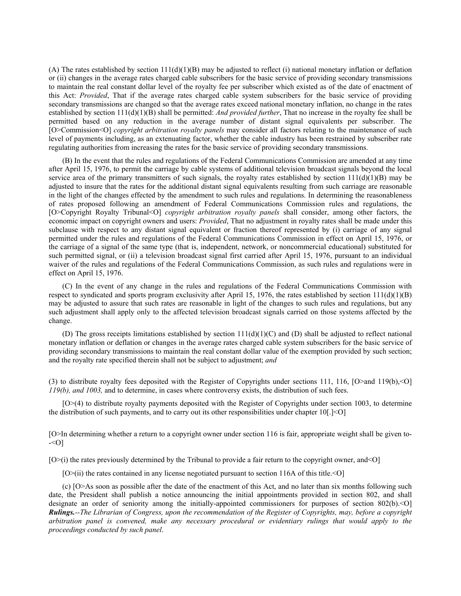(A) The rates established by section  $111(d)(1)(B)$  may be adjusted to reflect (i) national monetary inflation or deflation or (ii) changes in the average rates charged cable subscribers for the basic service of providing secondary transmissions to maintain the real constant dollar level of the royalty fee per subscriber which existed as of the date of enactment of this Act: *Provided*, That if the average rates charged cable system subscribers for the basic service of providing secondary transmissions are changed so that the average rates exceed national monetary inflation, no change in the rates established by section 111(d)(1)(B) shall be permitted: *And provided further*, That no increase in the royalty fee shall be permitted based on any reduction in the average number of distant signal equivalents per subscriber. The [O>Commission<O] *copyright arbitration royalty panels* may consider all factors relating to the maintenance of such level of payments including, as an extenuating factor, whether the cable industry has been restrained by subscriber rate regulating authorities from increasing the rates for the basic service of providing secondary transmissions.

(B) In the event that the rules and regulations of the Federal Communications Commission are amended at any time after April 15, 1976, to permit the carriage by cable systems of additional television broadcast signals beyond the local service area of the primary transmitters of such signals, the royalty rates established by section  $111(d)(1)(B)$  may be adjusted to insure that the rates for the additional distant signal equivalents resulting from such carriage are reasonable in the light of the changes effected by the amendment to such rules and regulations. In determining the reasonableness of rates proposed following an amendment of Federal Communications Commission rules and regulations, the [O>Copyright Royalty Tribunal<O] *copyright arbitration royalty panels* shall consider, among other factors, the economic impact on copyright owners and users: *Provided*, That no adjustment in royalty rates shall be made under this subclause with respect to any distant signal equivalent or fraction thereof represented by (i) carriage of any signal permitted under the rules and regulations of the Federal Communications Commission in effect on April 15, 1976, or the carriage of a signal of the same type (that is, independent, network, or noncommercial educational) substituted for such permitted signal, or (ii) a television broadcast signal first carried after April 15, 1976, pursuant to an individual waiver of the rules and regulations of the Federal Communications Commission, as such rules and regulations were in effect on April 15, 1976.

(C) In the event of any change in the rules and regulations of the Federal Communications Commission with respect to syndicated and sports program exclusivity after April 15, 1976, the rates established by section  $111(d)(1)(B)$ may be adjusted to assure that such rates are reasonable in light of the changes to such rules and regulations, but any such adjustment shall apply only to the affected television broadcast signals carried on those systems affected by the change.

(D) The gross receipts limitations established by section  $111(d)(1)(C)$  and (D) shall be adjusted to reflect national monetary inflation or deflation or changes in the average rates charged cable system subscribers for the basic service of providing secondary transmissions to maintain the real constant dollar value of the exemption provided by such section; and the royalty rate specified therein shall not be subject to adjustment; *and*

(3) to distribute royalty fees deposited with the Register of Copyrights under sections 111, 116, [O>and 119(b),<O] *119(b), and 1003,* and to determine, in cases where controversy exists, the distribution of such fees.

[O>(4) to distribute royalty payments deposited with the Register of Copyrights under section 1003, to determine the distribution of such payments, and to carry out its other responsibilities under chapter  $10[.] \leq O$ 

[O>In determining whether a return to a copyright owner under section 116 is fair, appropriate weight shall be given to-  $-5$ 

 $[O>(i)]$  the rates previously determined by the Tribunal to provide a fair return to the copyright owner, and  $[O]$ 

[O>(ii) the rates contained in any license negotiated pursuant to section 116A of this title.<O]

(c) [O>As soon as possible after the date of the enactment of this Act, and no later than six months following such date, the President shall publish a notice announcing the initial appointments provided in section 802, and shall designate an order of seniority among the initially-appointed commissioners for purposes of section 802(b).<0] *Rulings.--The Librarian of Congress, upon the recommendation of the Register of Copyrights, may, before a copyright arbitration panel is convened, make any necessary procedural or evidentiary rulings that would apply to the proceedings conducted by such panel*.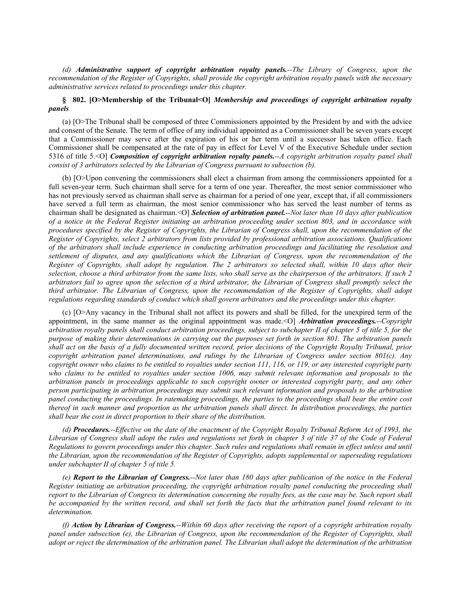*(d) Administrative support of copyright arbitration royalty panels.--The Library of Congress, upon the recommendation of the Register of Copyrights, shall provide the copyright arbitration royalty panels with the necessary administrative services related to proceedings under this chapter.*

# **§ 802. [O>Membership of the Tribunal<O]** *Membership and proceedings of copyright arbitration royalty panels*

(a) [O>The Tribunal shall be composed of three Commissioners appointed by the President by and with the advice and consent of the Senate. The term of office of any individual appointed as a Commissioner shall be seven years except that a Commissioner may serve after the expiration of his or her term until a successor has taken office. Each Commissioner shall be compensated at the rate of pay in effect for Level V of the Executive Schedule under section 5316 of title 5.<O] *Composition of copyright arbitration royalty panels.--A copyright arbitration royalty panel shall consist of 3 arbitrators selected by the Librarian of Congress pursuant to subsection (b).*

(b) [O>Upon convening the commissioners shall elect a chairman from among the commissioners appointed for a full seven-year term. Such chairman shall serve for a term of one year. Thereafter, the most senior commissioner who has not previously served as chairman shall serve as chairman for a period of one year, except that, if all commissioners have served a full term as chairman, the most senior commissioner who has served the least number of terms as chairman shall be designated as chairman.<O] *Selection of arbitration panel.--Not later than 10 days after publication of a notice in the Federal Register initiating an arbitration proceeding under section 803, and in accordance with procedures specified by the Register of Copyrights, the Librarian of Congress shall, upon the recommendation of the Register of Copyrights, select 2 arbitrators from lists provided by professional arbitration associations. Qualifications of the arbitrators shall include experience in conducting arbitration proceedings and facilitating the resolution and settlement of disputes, and any qualifications which the Librarian of Congress, upon the recommendation of the Register of Copyrights, shall adopt by regulation. The 2 arbitrators so selected shall, within 10 days after their selection, choose a third arbitrator from the same lists, who shall serve as the chairperson of the arbitrators. If such 2 arbitrators fail to agree upon the selection of a third arbitrator, the Librarian of Congress shall promptly select the third arbitrator. The Librarian of Congress, upon the recommendation of the Register of Copyrights, shall adopt regulations regarding standards of conduct which shall govern arbitrators and the proceedings under this chapter.*

(c) [O>Any vacancy in the Tribunal shall not affect its powers and shall be filled, for the unexpired term of the appointment, in the same manner as the original appointment was made.<O] *Arbitration proceedings.--Copyright arbitration royalty panels shall conduct arbitration proceedings, subject to subchapter II of chapter 5 of title 5, for the purpose of making their determinations in carrying out the purposes set forth in section 801. The arbitration panels shall act on the basis of a fully documented written record, prior decisions of the Copyright Royalty Tribunal, prior copyright arbitration panel determinations, and rulings by the Librarian of Congress under section 801(c). Any copyright owner who claims to be entitled to royalties under section 111, 116, or 119, or any interested copyright party who claims to be entitled to royalties under section 1006, may submit relevant information and proposals to the arbitration panels in proceedings applicable to such copyright owner or interested copyright party, and any other person participating in arbitration proceedings may submit such relevant information and proposals to the arbitration panel conducting the proceedings. In ratemaking proceedings, the parties to the proceedings shall bear the entire cost thereof in such manner and proportion as the arbitration panels shall direct. In distribution proceedings, the parties shall bear the cost in direct proportion to their share of the distribution.*

*(d) Procedures.--Effective on the date of the enactment of the Copyright Royalty Tribunal Reform Act of 1993, the Librarian of Congress shall adopt the rules and regulations set forth in chapter 3 of title 37 of the Code of Federal Regulations to govern proceedings under this chapter. Such rules and regulations shall remain in effect unless and until the Librarian, upon the recommendation of the Register of Copyrights, adopts supplemental or superseding regulations under subchapter II of chapter 5 of title 5.*

*(e) Report to the Librarian of Congress.--Not later than 180 days after publication of the notice in the Federal Register initiating an arbitration proceeding, the copyright arbitration royalty panel conducting the proceeding shall report to the Librarian of Congress its determination concerning the royalty fees, as the case may be. Such report shall be accompanied by the written record, and shall set forth the facts that the arbitration panel found relevant to its determination.*

*(f) Action by Librarian of Congress.--Within 60 days after receiving the report of a copyright arbitration royalty panel under subsection (e), the Librarian of Congress, upon the recommendation of the Register of Copyrights, shall adopt or reject the determination of the arbitration panel. The Librarian shall adopt the determination of the arbitration*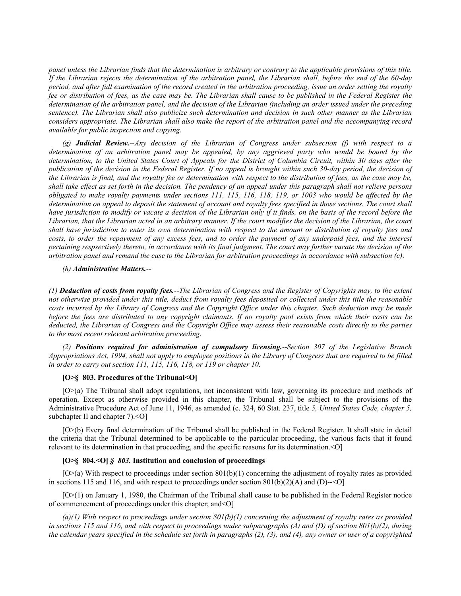*panel unless the Librarian finds that the determination is arbitrary or contrary to the applicable provisions of this title. If the Librarian rejects the determination of the arbitration panel, the Librarian shall, before the end of the 60-day period, and after full examination of the record created in the arbitration proceeding, issue an order setting the royalty fee or distribution of fees, as the case may be. The Librarian shall cause to be published in the Federal Register the determination of the arbitration panel, and the decision of the Librarian (including an order issued under the preceding sentence). The Librarian shall also publicize such determination and decision in such other manner as the Librarian considers appropriate. The Librarian shall also make the report of the arbitration panel and the accompanying record available for public inspection and copying*.

*(g) Judicial Review.--Any decision of the Librarian of Congress under subsection (f) with respect to a determination of an arbitration panel may be appealed, by any aggrieved party who would be bound by the determination, to the United States Court of Appeals for the District of Columbia Circuit, within 30 days after the publication of the decision in the Federal Register. If no appeal is brought within such 30-day period, the decision of the Librarian is final, and the royalty fee or determination with respect to the distribution of fees, as the case may be, shall take effect as set forth in the decision. The pendency of an appeal under this paragraph shall not relieve persons obligated to make royalty payments under sections 111, 115, 116, 118, 119, or 1003 who would be affected by the determination on appeal to deposit the statement of account and royalty fees specified in those sections. The court shall have jurisdiction to modify or vacate a decision of the Librarian only if it finds, on the basis of the record before the Librarian, that the Librarian acted in an arbitrary manner. If the court modifies the decision of the Librarian, the court shall have jurisdiction to enter its own determination with respect to the amount or distribution of royalty fees and costs, to order the repayment of any excess fees, and to order the payment of any underpaid fees, and the interest pertaining respsectively thereto, in accordance with its final judgment. The court may further vacate the decision of the arbitration panel and remand the case to the Librarian for arbitration proceedings in accordance with subsection (c)*.

#### *(h) Administrative Matters.*--

*(1) Deduction of costs from royalty fees.--The Librarian of Congress and the Register of Copyrights may, to the extent not otherwise provided under this title, deduct from royalty fees deposited or collected under this title the reasonable costs incurred by the Library of Congress and the Copyright Office under this chapter. Such deduction may be made before the fees are distributed to any copyright claimants. If no royalty pool exists from which their costs can be deducted, the Librarian of Congress and the Copyright Office may assess their reasonable costs directly to the parties to the most recent relevant arbitration proceeding*.

*(2) Positions required for administration of compulsory licensing.--Section 307 of the Legislative Branch Appropriations Act, 1994, shall not apply to employee positions in the Library of Congress that are required to be filled in order to carry out section 111, 115, 116, 118, or 119 or chapter 10*.

## **[O>§ 803. Procedures of the Tribunal<O]**

[O>(a) The Tribunal shall adopt regulations, not inconsistent with law, governing its procedure and methods of operation. Except as otherwise provided in this chapter, the Tribunal shall be subject to the provisions of the Administrative Procedure Act of June 11, 1946, as amended (c. 324, 60 Stat. 237, title *5, United States Code, chapter 5,* subchapter II and chapter 7).<0]

[O>(b) Every final determination of the Tribunal shall be published in the Federal Register. It shall state in detail the criteria that the Tribunal determined to be applicable to the particular proceeding, the various facts that it found relevant to its determination in that proceeding, and the specific reasons for its determination.<O]

### **[O>§ 804.<O]** *§ 803.* **Institution and conclusion of proceedings**

 $[O>(a)$  With respect to proceedings under section 801(b)(1) concerning the adjustment of royalty rates as provided in sections 115 and 116, and with respect to proceedings under section  $801(b)(2)(A)$  and (D)--<0]

[O>(1) on January 1, 1980, the Chairman of the Tribunal shall cause to be published in the Federal Register notice of commencement of proceedings under this chapter; and<O]

*(a)(1) With respect to proceedings under section 801(b)(1) concerning the adjustment of royalty rates as provided in sections 115 and 116, and with respect to proceedings under subparagraphs (A) and (D) of section 801(b)(2), during the calendar years specified in the schedule set forth in paragraphs (2), (3), and (4), any owner or user of a copyrighted*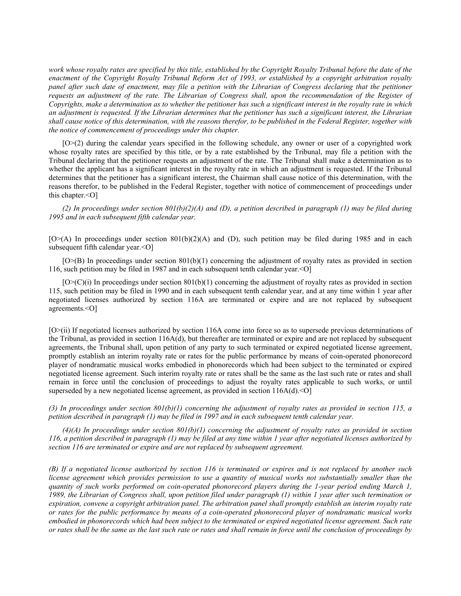*work whose royalty rates are specified by this title, established by the Copyright Royalty Tribunal before the date of the enactment of the Copyright Royalty Tribunal Reform Act of 1993, or established by a copyright arbitration royalty panel after such date of enactment, may file a petition with the Librarian of Congress declaring that the petitioner*  requests an adjustment of the rate. The Librarian of Congress shall, upon the recommendation of the Register of *Copyrights, make a determination as to whether the petitioner has such a significant interest in the royalty rate in which an adjustment is requested. If the Librarian determines that the petitioner has such a significant interest, the Librarian shall cause notice of this determination, with the reasons therefor, to be published in the Federal Register, together with the notice of commencement of proceedings under this chapter.*

[O>(2) during the calendar years specified in the following schedule, any owner or user of a copyrighted work whose royalty rates are specified by this title, or by a rate established by the Tribunal, may file a petition with the Tribunal declaring that the petitioner requests an adjustment of the rate. The Tribunal shall make a determination as to whether the applicant has a significant interest in the royalty rate in which an adjustment is requested. If the Tribunal determines that the petitioner has a significant interest, the Chairman shall cause notice of this determination, with the reasons therefor, to be published in the Federal Register, together with notice of commencement of proceedings under this chapter.<O]

*(2) In proceedings under section 801(b)(2)(A) and (D), a petition described in paragraph (1) may be filed during 1995 and in each subsequent fifth calendar year.*

 $[O>(A)]$  In proceedings under section  $[O(1(b))(2)(A)]$  and (D), such petition may be filed during 1985 and in each subsequent fifth calendar year.<O]

[O>(B) In proceedings under section 801(b)(1) concerning the adjustment of royalty rates as provided in section 116, such petition may be filed in 1987 and in each subsequent tenth calendar year.<O]

 $[O>(C)(i)]$  In proceedings under section  $801(b)(1)$  concerning the adjustment of royalty rates as provided in section 115, such petition may be filed in 1990 and in each subsequent tenth calendar year, and at any time within 1 year after negotiated licenses authorized by section 116A are terminated or expire and are not replaced by subsequent agreements.<O]

[O>(ii) If negotiated licenses authorized by section 116A come into force so as to supersede previous determinations of the Tribunal, as provided in section  $116A(d)$ , but thereafter are terminated or expire and are not replaced by subsequent agreements, the Tribunal shall, upon petition of any party to such terminated or expired negotiated license agreement, promptly establish an interim royalty rate or rates for the public performance by means of coin-operated phonorecord player of nondramatic musical works embodied in phonorecords which had been subject to the terminated or expired negotiated license agreement. Such interim royalty rate or rates shall be the same as the last such rate or rates and shall remain in force until the conclusion of proceedings to adjust the royalty rates applicable to such works, or until superseded by a new negotiated license agreement, as provided in section  $116A(d)$ .  $\leq O$ 

*(3) In proceedings under section 801(b)(1) concerning the adjustment of royalty rates as provided in section 115, a petition described in paragraph (1) may be filed in 1997 and in each subsequent tenth calendar year.*

*(4)(A) In proceedings under section 801(b)(1) concerning the adjustment of royalty rates as provided in section 116, a petition described in paragraph (1) may be filed at any time within 1 year after negotiated licenses authorized by section 116 are terminated or expire and are not replaced by subsequent agreement.*

*(B) If a negotiated license authorized by section 116 is terminated or expires and is not replaced by another such license agreement which provides permission to use a quantity of musical works not substantially smaller than the quantity of such works performed on coin-operated phonorecord players during the 1-year period ending March 1, 1989, the Librarian of Congress shall, upon petition filed under paragraph (1) within 1 year after such termination or expiration, convene a copyright arbitration panel. The arbitration panel shall promptly establish an interim royalty rate or rates for the public performance by means of a coin-operated phonorecord player of nondramatic musical works embodied in phonorecords which had been subject to the terminated or expired negotiated license agreement. Such rate or rates shall be the same as the last such rate or rates and shall remain in force until the conclusion of proceedings by*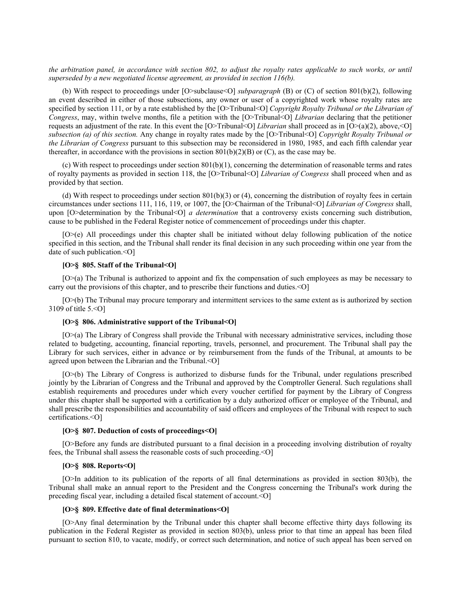*the arbitration panel, in accordance with section 802, to adjust the royalty rates applicable to such works, or until superseded by a new negotiated license agreement, as provided in section 116(b).*

(b) With respect to proceedings under [O>subclause<O] *subparagraph* (B) or (C) of section 801(b)(2), following an event described in either of those subsections, any owner or user of a copyrighted work whose royalty rates are specified by section 111, or by a rate established by the [O>Tribunal<O] *Copyright Royalty Tribunal or the Librarian of Congress*, may, within twelve months, file a petition with the [O>Tribunal<O] *Librarian* declaring that the petitioner requests an adjustment of the rate. In this event the [O>Tribunal<O] *Librarian* shall proceed as in [O>(a)(2), above,<O] *subsection (a) of this section.* Any change in royalty rates made by the [O>Tribunal<O] *Copyright Royalty Tribunal or the Librarian of Congress* pursuant to this subsection may be reconsidered in 1980, 1985, and each fifth calendar year thereafter, in accordance with the provisions in section  $801(b)(2)(B)$  or (C), as the case may be.

(c) With respect to proceedings under section 801(b)(1), concerning the determination of reasonable terms and rates of royalty payments as provided in section 118, the [O>Tribunal<O] *Librarian of Congress* shall proceed when and as provided by that section.

(d) With respect to proceedings under section  $801(b)(3)$  or (4), concerning the distribution of royalty fees in certain circumstances under sections 111, 116, 119, or 1007, the [O>Chairman of the Tribunal<O] *Librarian of Congress* shall, upon [O>determination by the Tribunal<O] *a determination* that a controversy exists concerning such distribution, cause to be published in the Federal Register notice of commencement of proceedings under this chapter.

[O>(e) All proceedings under this chapter shall be initiated without delay following publication of the notice specified in this section, and the Tribunal shall render its final decision in any such proceeding within one year from the date of such publication.<O]

# **[O>§ 805. Staff of the Tribunal<O]**

[O>(a) The Tribunal is authorized to appoint and fix the compensation of such employees as may be necessary to carry out the provisions of this chapter, and to prescribe their functions and duties.<O]

[O>(b) The Tribunal may procure temporary and intermittent services to the same extent as is authorized by section 3109 of title 5.<O]

## **[O>§ 806. Administrative support of the Tribunal<O]**

[O>(a) The Library of Congress shall provide the Tribunal with necessary administrative services, including those related to budgeting, accounting, financial reporting, travels, personnel, and procurement. The Tribunal shall pay the Library for such services, either in advance or by reimbursement from the funds of the Tribunal, at amounts to be agreed upon between the Librarian and the Tribunal.<O]

[O>(b) The Library of Congress is authorized to disburse funds for the Tribunal, under regulations prescribed jointly by the Librarian of Congress and the Tribunal and approved by the Comptroller General. Such regulations shall establish requirements and procedures under which every voucher certified for payment by the Library of Congress under this chapter shall be supported with a certification by a duly authorized officer or employee of the Tribunal, and shall prescribe the responsibilities and accountability of said officers and employees of the Tribunal with respect to such certifications.<O]

## **[O>§ 807. Deduction of costs of proceedings<O]**

[O>Before any funds are distributed pursuant to a final decision in a proceeding involving distribution of royalty fees, the Tribunal shall assess the reasonable costs of such proceeding.<O]

#### **[O>§ 808. Reports<O]**

[O>In addition to its publication of the reports of all final determinations as provided in section 803(b), the Tribunal shall make an annual report to the President and the Congress concerning the Tribunal's work during the preceding fiscal year, including a detailed fiscal statement of account.<O]

# **[O>§ 809. Effective date of final determinations<O]**

[O>Any final determination by the Tribunal under this chapter shall become effective thirty days following its publication in the Federal Register as provided in section 803(b), unless prior to that time an appeal has been filed pursuant to section 810, to vacate, modify, or correct such determination, and notice of such appeal has been served on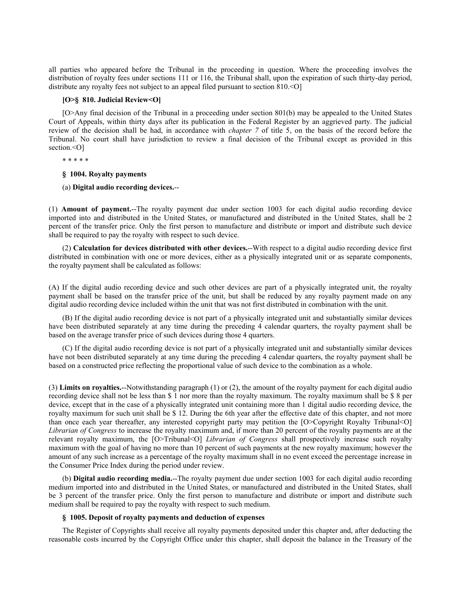all parties who appeared before the Tribunal in the proceeding in question. Where the proceeding involves the distribution of royalty fees under sections 111 or 116, the Tribunal shall, upon the expiration of such thirty-day period, distribute any royalty fees not subject to an appeal filed pursuant to section 810. < O]

# **[O>§ 810. Judicial Review<O]**

[O>Any final decision of the Tribunal in a proceeding under section 801(b) may be appealed to the United States Court of Appeals, within thirty days after its publication in the Federal Register by an aggrieved party. The judicial review of the decision shall be had, in accordance with *chapter 7* of title 5, on the basis of the record before the Tribunal. No court shall have jurisdiction to review a final decision of the Tribunal except as provided in this section.<0]

\* \* \* \* \*

## **§ 1004. Royalty payments**

(a) **Digital audio recording devices.**--

(1) **Amount of payment.**--The royalty payment due under section 1003 for each digital audio recording device imported into and distributed in the United States, or manufactured and distributed in the United States, shall be 2 percent of the transfer price. Only the first person to manufacture and distribute or import and distribute such device shall be required to pay the royalty with respect to such device.

(2) **Calculation for devices distributed with other devices.**--With respect to a digital audio recording device first distributed in combination with one or more devices, either as a physically integrated unit or as separate components, the royalty payment shall be calculated as follows:

(A) If the digital audio recording device and such other devices are part of a physically integrated unit, the royalty payment shall be based on the transfer price of the unit, but shall be reduced by any royalty payment made on any digital audio recording device included within the unit that was not first distributed in combination with the unit.

(B) If the digital audio recording device is not part of a physically integrated unit and substantially similar devices have been distributed separately at any time during the preceding 4 calendar quarters, the royalty payment shall be based on the average transfer price of such devices during those 4 quarters.

(C) If the digital audio recording device is not part of a physically integrated unit and substantially similar devices have not been distributed separately at any time during the preceding 4 calendar quarters, the royalty payment shall be based on a constructed price reflecting the proportional value of such device to the combination as a whole.

(3) **Limits on royalties.**--Notwithstanding paragraph (1) or (2), the amount of the royalty payment for each digital audio recording device shall not be less than \$ 1 nor more than the royalty maximum. The royalty maximum shall be \$ 8 per device, except that in the case of a physically integrated unit containing more than 1 digital audio recording device, the royalty maximum for such unit shall be \$ 12. During the 6th year after the effective date of this chapter, and not more than once each year thereafter, any interested copyright party may petition the [O>Copyright Royalty Tribunal<O] *Librarian of Congress* to increase the royalty maximum and, if more than 20 percent of the royalty payments are at the relevant royalty maximum, the [O>Tribunal<O] *Librarian of Congress* shall prospectively increase such royalty maximum with the goal of having no more than 10 percent of such payments at the new royalty maximum; however the amount of any such increase as a percentage of the royalty maximum shall in no event exceed the percentage increase in the Consumer Price Index during the period under review.

(b) **Digital audio recording media.**--The royalty payment due under section 1003 for each digital audio recording medium imported into and distributed in the United States, or manufactured and distributed in the United States, shall be 3 percent of the transfer price. Only the first person to manufacture and distribute or import and distribute such medium shall be required to pay the royalty with respect to such medium.

#### **§ 1005. Deposit of royalty payments and deduction of expenses**

The Register of Copyrights shall receive all royalty payments deposited under this chapter and, after deducting the reasonable costs incurred by the Copyright Office under this chapter, shall deposit the balance in the Treasury of the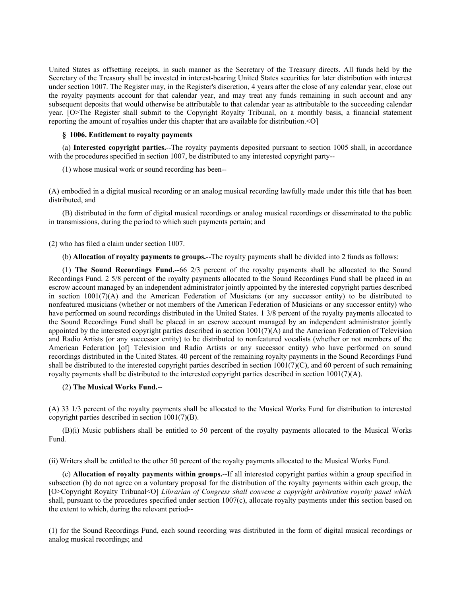United States as offsetting receipts, in such manner as the Secretary of the Treasury directs. All funds held by the Secretary of the Treasury shall be invested in interest-bearing United States securities for later distribution with interest under section 1007. The Register may, in the Register's discretion, 4 years after the close of any calendar year, close out the royalty payments account for that calendar year, and may treat any funds remaining in such account and any subsequent deposits that would otherwise be attributable to that calendar year as attributable to the succeeding calendar year. [O>The Register shall submit to the Copyright Royalty Tribunal, on a monthly basis, a financial statement reporting the amount of royalties under this chapter that are available for distribution.<O]

## **§ 1006. Entitlement to royalty payments**

(a) **Interested copyright parties.**--The royalty payments deposited pursuant to section 1005 shall, in accordance with the procedures specified in section 1007, be distributed to any interested copyright party--

(1) whose musical work or sound recording has been--

(A) embodied in a digital musical recording or an analog musical recording lawfully made under this title that has been distributed, and

(B) distributed in the form of digital musical recordings or analog musical recordings or disseminated to the public in transmissions, during the period to which such payments pertain; and

(2) who has filed a claim under section 1007.

(b) **Allocation of royalty payments to groups.**--The royalty payments shall be divided into 2 funds as follows:

(1) **The Sound Recordings Fund.**--66 2/3 percent of the royalty payments shall be allocated to the Sound Recordings Fund. 2 5/8 percent of the royalty payments allocated to the Sound Recordings Fund shall be placed in an escrow account managed by an independent administrator jointly appointed by the interested copyright parties described in section 1001(7)(A) and the American Federation of Musicians (or any successor entity) to be distributed to nonfeatured musicians (whether or not members of the American Federation of Musicians or any successor entity) who have performed on sound recordings distributed in the United States. 1 3/8 percent of the royalty payments allocated to the Sound Recordings Fund shall be placed in an escrow account managed by an independent administrator jointly appointed by the interested copyright parties described in section 1001(7)(A) and the American Federation of Television and Radio Artists (or any successor entity) to be distributed to nonfeatured vocalists (whether or not members of the American Federation [of] Television and Radio Artists or any successor entity) who have performed on sound recordings distributed in the United States. 40 percent of the remaining royalty payments in the Sound Recordings Fund shall be distributed to the interested copyright parties described in section  $1001(7)(C)$ , and 60 percent of such remaining royalty payments shall be distributed to the interested copyright parties described in section  $1001(7)(A)$ .

## (2) **The Musical Works Fund.**--

(A) 33 1/3 percent of the royalty payments shall be allocated to the Musical Works Fund for distribution to interested copyright parties described in section 1001(7)(B).

(B)(i) Music publishers shall be entitled to 50 percent of the royalty payments allocated to the Musical Works Fund.

(ii) Writers shall be entitled to the other 50 percent of the royalty payments allocated to the Musical Works Fund.

(c) **Allocation of royalty payments within groups.**--If all interested copyright parties within a group specified in subsection (b) do not agree on a voluntary proposal for the distribution of the royalty payments within each group, the [O>Copyright Royalty Tribunal<O] *Librarian of Congress shall convene a copyright arbitration royalty panel which* shall, pursuant to the procedures specified under section 1007(c), allocate royalty payments under this section based on the extent to which, during the relevant period--

(1) for the Sound Recordings Fund, each sound recording was distributed in the form of digital musical recordings or analog musical recordings; and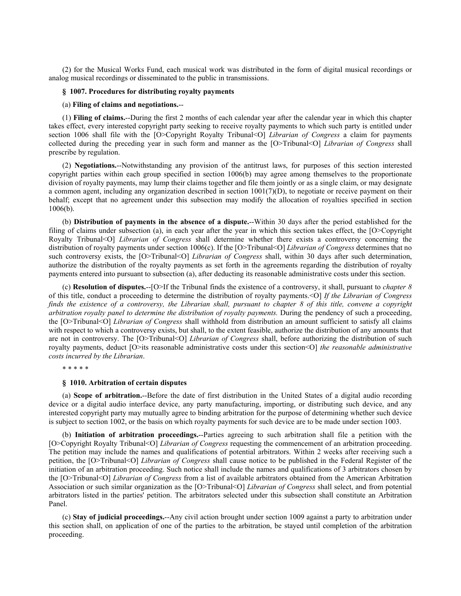(2) for the Musical Works Fund, each musical work was distributed in the form of digital musical recordings or analog musical recordings or disseminated to the public in transmissions.

### **§ 1007. Procedures for distributing royalty payments**

#### (a) **Filing of claims and negotiations.**--

(1) **Filing of claims.**--During the first 2 months of each calendar year after the calendar year in which this chapter takes effect, every interested copyright party seeking to receive royalty payments to which such party is entitled under section 1006 shall file with the [O>Copyright Royalty Tribunal<O] *Librarian of Congress* a claim for payments collected during the preceding year in such form and manner as the [O>Tribunal<O] *Librarian of Congress* shall prescribe by regulation.

(2) **Negotiations.**--Notwithstanding any provision of the antitrust laws, for purposes of this section interested copyright parties within each group specified in section 1006(b) may agree among themselves to the proportionate division of royalty payments, may lump their claims together and file them jointly or as a single claim, or may designate a common agent, including any organization described in section  $1001(7)(D)$ , to negotiate or receive payment on their behalf; except that no agreement under this subsection may modify the allocation of royalties specified in section 1006(b).

(b) **Distribution of payments in the absence of a dispute.**--Within 30 days after the period established for the filing of claims under subsection (a), in each year after the year in which this section takes effect, the [O>Copyright Royalty Tribunal<O] *Librarian of Congress* shall determine whether there exists a controversy concerning the distribution of royalty payments under section 1006(c). If the [O>Tribunal<O] *Librarian of Congress* determines that no such controversy exists, the [O>Tribunal<O] *Librarian of Congress* shall, within 30 days after such determination, authorize the distribution of the royalty payments as set forth in the agreements regarding the distribution of royalty payments entered into pursuant to subsection (a), after deducting its reasonable administrative costs under this section.

(c) **Resolution of disputes.**--[O>If the Tribunal finds the existence of a controversy, it shall, pursuant to *chapter 8* of this title, conduct a proceeding to determine the distribution of royalty payments.<O] *If the Librarian of Congress*  finds the existence of a controversy, the Librarian shall, pursuant to chapter 8 of this title, convene a copyright *arbitration royalty panel to determine the distribution of royalty payments.* During the pendency of such a proceeding, the [O>Tribunal<O] *Librarian of Congress* shall withhold from distribution an amount sufficient to satisfy all claims with respect to which a controversy exists, but shall, to the extent feasible, authorize the distribution of any amounts that are not in controversy. The [O>Tribunal<O] *Librarian of Congress* shall, before authorizing the distribution of such royalty payments, deduct [O>its reasonable administrative costs under this section<O] *the reasonable administrative costs incurred by the Librarian*.

\* \* \* \* \*

### **§ 1010. Arbitration of certain disputes**

(a) **Scope of arbitration.**--Before the date of first distribution in the United States of a digital audio recording device or a digital audio interface device, any party manufacturing, importing, or distributing such device, and any interested copyright party may mutually agree to binding arbitration for the purpose of determining whether such device is subject to section 1002, or the basis on which royalty payments for such device are to be made under section 1003.

(b) **Initiation of arbitration proceedings.**--Parties agreeing to such arbitration shall file a petition with the [O>Copyright Royalty Tribunal<O] *Librarian of Congress* requesting the commencement of an arbitration proceeding. The petition may include the names and qualifications of potential arbitrators. Within 2 weeks after receiving such a petition, the [O>Tribunal<O] *Librarian of Congress* shall cause notice to be published in the Federal Register of the initiation of an arbitration proceeding. Such notice shall include the names and qualifications of 3 arbitrators chosen by the [O>Tribunal<O] *Librarian of Congress* from a list of available arbitrators obtained from the American Arbitration Association or such similar organization as the [O>Tribunal<O] *Librarian of Congress* shall select, and from potential arbitrators listed in the parties' petition. The arbitrators selected under this subsection shall constitute an Arbitration Panel.

(c) **Stay of judicial proceedings.**--Any civil action brought under section 1009 against a party to arbitration under this section shall, on application of one of the parties to the arbitration, be stayed until completion of the arbitration proceeding.